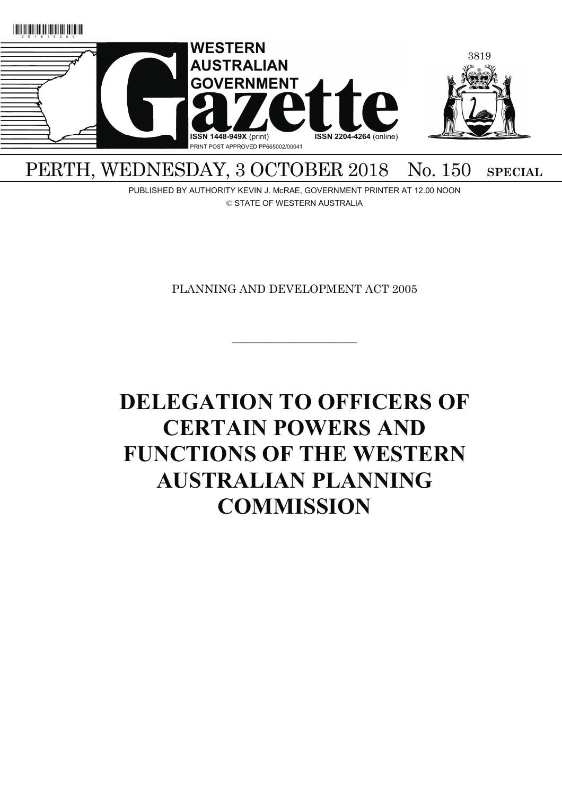

## PERTH, WEDNESDAY, 3 OCTOBER 2018 No. 150 SPECIAL

PUBLISHED BY AUTHORITY KEVIN J. McRAE, GOVERNMENT PRINTER AT 12.00 NOON © STATE OF WESTERN AUSTRALIA

PLANNING AND DEVELOPMENT ACT 2005

———————————

# **DELEGATION TO OFFICERS OF CERTAIN POWERS AND FUNCTIONS OF THE WESTERN AUSTRALIAN PLANNING COMMISSION**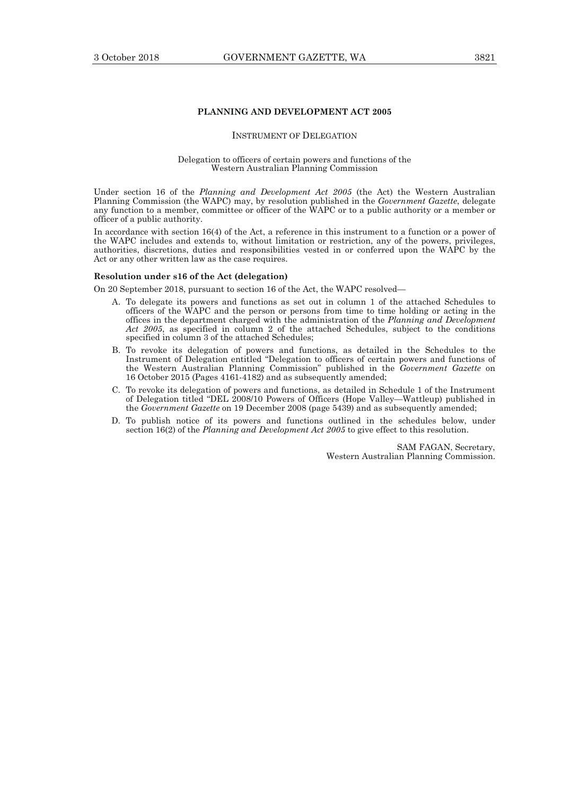### **PLANNING AND DEVELOPMENT ACT 2005**

#### INSTRUMENT OF DELEGATION

#### Delegation to officers of certain powers and functions of the Western Australian Planning Commission

Under section 16 of the *Planning and Development Act 2005* (the Act) the Western Australian Planning Commission (the WAPC) may, by resolution published in the *Government Gazette*, delegate any function to a member, committee or officer of the WAPC or to a public authority or a member or officer of a public authority.

In accordance with section 16(4) of the Act, a reference in this instrument to a function or a power of the WAPC includes and extends to, without limitation or restriction, any of the powers, privileges, authorities, discretions, duties and responsibilities vested in or conferred upon the WAPC by the Act or any other written law as the case requires.

#### **Resolution under s16 of the Act (delegation)**

On 20 September 2018, pursuant to section 16 of the Act, the WAPC resolved—

- A. To delegate its powers and functions as set out in column 1 of the attached Schedules to officers of the WAPC and the person or persons from time to time holding or acting in the offices in the department charged with the administration of the *Planning and Development Act 2005*, as specified in column 2 of the attached Schedules, subject to the conditions specified in column 3 of the attached Schedules;
	- B. To revoke its delegation of powers and functions, as detailed in the Schedules to the Instrument of Delegation entitled "Delegation to officers of certain powers and functions of the Western Australian Planning Commission" published in the *Government Gazette* on 16 October 2015 (Pages 4161-4182) and as subsequently amended;
- C. To revoke its delegation of powers and functions, as detailed in Schedule 1 of the Instrument of Delegation titled "DEL 2008/10 Powers of Officers (Hope Valley—Wattleup) published in the *Government Gazette* on 19 December 2008 (page 5439) and as subsequently amended;
	- D. To publish notice of its powers and functions outlined in the schedules below, under section 16(2) of the *Planning and Development Act 2005* to give effect to this resolution.

SAM FAGAN, Secretary, Western Australian Planning Commission.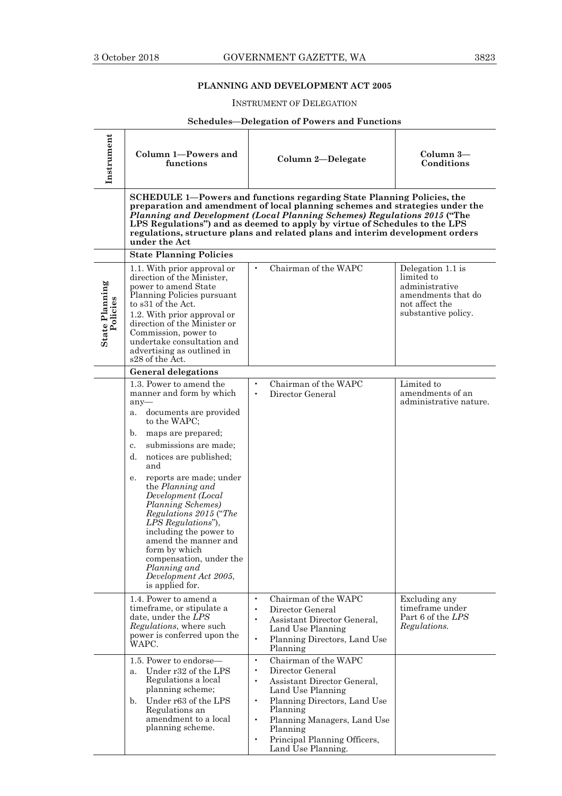## **PLANNING AND DEVELOPMENT ACT 2005**

## INSTRUMENT OF DELEGATION

## **Schedules—Delegation of Powers and Functions**

| Instrument                        | Column 1-Powers and<br>functions                                                                                                                                                                                                                                                                                                                                                                                                                                                                                          | Column 2-Delegate                                                                                                                                                                                                                                                                                                                                                                                 | Column 3-<br>Conditions                                                                                          |
|-----------------------------------|---------------------------------------------------------------------------------------------------------------------------------------------------------------------------------------------------------------------------------------------------------------------------------------------------------------------------------------------------------------------------------------------------------------------------------------------------------------------------------------------------------------------------|---------------------------------------------------------------------------------------------------------------------------------------------------------------------------------------------------------------------------------------------------------------------------------------------------------------------------------------------------------------------------------------------------|------------------------------------------------------------------------------------------------------------------|
|                                   | under the Act                                                                                                                                                                                                                                                                                                                                                                                                                                                                                                             | SCHEDULE 1-Powers and functions regarding State Planning Policies, the<br>preparation and amendment of local planning schemes and strategies under the<br>Planning and Development (Local Planning Schemes) Regulations 2015 ("The<br>LPS Regulations") and as deemed to apply by virtue of Schedules to the LPS<br>regulations, structure plans and related plans and interim development orders |                                                                                                                  |
|                                   | <b>State Planning Policies</b>                                                                                                                                                                                                                                                                                                                                                                                                                                                                                            |                                                                                                                                                                                                                                                                                                                                                                                                   |                                                                                                                  |
| <b>State Planning</b><br>Policies | 1.1. With prior approval or<br>direction of the Minister,<br>power to amend State<br>Planning Policies pursuant<br>to s31 of the Act.<br>1.2. With prior approval or<br>direction of the Minister or<br>Commission, power to<br>undertake consultation and<br>advertising as outlined in<br>s28 of the Act.                                                                                                                                                                                                               | Chairman of the WAPC<br>$\bullet$                                                                                                                                                                                                                                                                                                                                                                 | Delegation 1.1 is<br>limited to<br>administrative<br>amendments that do<br>not affect the<br>substantive policy. |
|                                   | <b>General delegations</b>                                                                                                                                                                                                                                                                                                                                                                                                                                                                                                |                                                                                                                                                                                                                                                                                                                                                                                                   |                                                                                                                  |
|                                   | 1.3. Power to amend the<br>manner and form by which<br>$any-$<br>documents are provided<br>a.<br>to the WAPC:<br>maps are prepared;<br>b.<br>submissions are made;<br>c.<br>d.<br>notices are published;<br>and<br>reports are made; under<br>е.<br>the Planning and<br>Development (Local<br>Planning Schemes)<br>Regulations 2015 ("The<br>LPS Regulations"),<br>including the power to<br>amend the manner and<br>form by which<br>compensation, under the<br>Planning and<br>Development Act 2005,<br>is applied for. | Chairman of the WAPC<br>Director General                                                                                                                                                                                                                                                                                                                                                          | Limited to<br>amendments of an<br>administrative nature.                                                         |
|                                   | 1.4. Power to amend a<br>timeframe, or stipulate a<br>date, under the LPS<br>Regulations, where such<br>power is conferred upon the<br>WAPC.                                                                                                                                                                                                                                                                                                                                                                              | Chairman of the WAPC<br>$\bullet$<br>Director General<br>$\bullet$<br>Assistant Director General,<br>$\bullet$<br>Land Use Planning<br>$\bullet$<br>Planning Directors, Land Use<br>Planning                                                                                                                                                                                                      | Excluding any<br>timeframe under<br>Part 6 of the <i>LPS</i><br>Regulations.                                     |
|                                   | 1.5. Power to endorse—<br>Under r32 of the LPS<br>a.<br>Regulations a local<br>planning scheme;<br>Under r63 of the LPS<br>b.<br>Regulations an<br>amendment to a local<br>planning scheme.                                                                                                                                                                                                                                                                                                                               | Chairman of the WAPC<br>$\bullet$<br>Director General<br>$\bullet$<br>Assistant Director General,<br>$\bullet$<br>Land Use Planning<br>Planning Directors, Land Use<br>Planning<br>Planning Managers, Land Use<br>$\bullet$<br>Planning<br>Principal Planning Officers,<br>$\bullet$<br>Land Use Planning.                                                                                        |                                                                                                                  |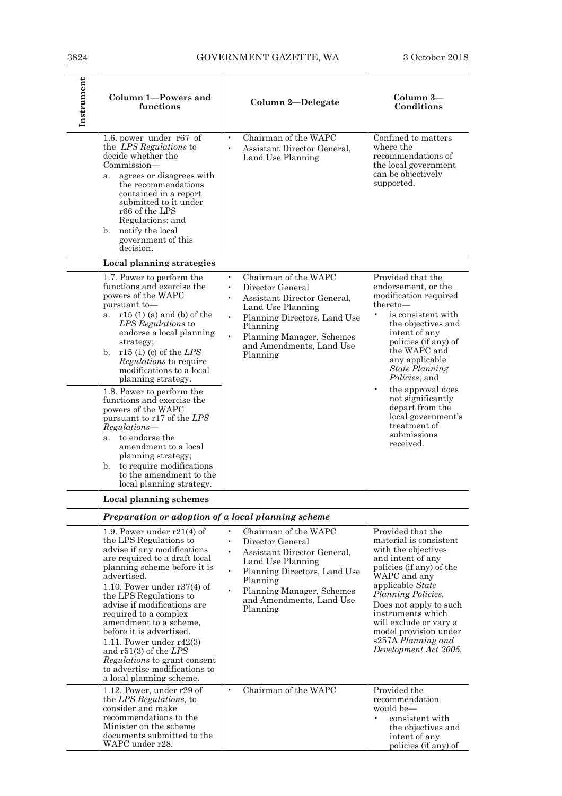| Instrument | Column 1-Powers and<br>functions                                                                                                                                                                                                                                                                                                                                                                                                                                                                                                                                                                                 | Column 2-Delegate                                                                                                                                                                                                                                                 | Column 3—<br>Conditions                                                                                                                                                                                                                                                                                                                                                                            |
|------------|------------------------------------------------------------------------------------------------------------------------------------------------------------------------------------------------------------------------------------------------------------------------------------------------------------------------------------------------------------------------------------------------------------------------------------------------------------------------------------------------------------------------------------------------------------------------------------------------------------------|-------------------------------------------------------------------------------------------------------------------------------------------------------------------------------------------------------------------------------------------------------------------|----------------------------------------------------------------------------------------------------------------------------------------------------------------------------------------------------------------------------------------------------------------------------------------------------------------------------------------------------------------------------------------------------|
|            | 1.6. power under $r67$ of<br>the LPS Regulations to<br>decide whether the<br>Commission—<br>agrees or disagrees with<br>a.<br>the recommendations<br>contained in a report<br>submitted to it under<br>r66 of the LPS<br>Regulations; and<br>notify the local<br>b.<br>government of this<br>decision.                                                                                                                                                                                                                                                                                                           | Chairman of the WAPC<br>$\bullet$<br>Assistant Director General,<br>$\bullet$<br>Land Use Planning                                                                                                                                                                | Confined to matters<br>where the<br>recommendations of<br>the local government<br>can be objectively<br>supported.                                                                                                                                                                                                                                                                                 |
|            | Local planning strategies                                                                                                                                                                                                                                                                                                                                                                                                                                                                                                                                                                                        |                                                                                                                                                                                                                                                                   |                                                                                                                                                                                                                                                                                                                                                                                                    |
|            | 1.7. Power to perform the<br>functions and exercise the<br>powers of the WAPC<br>pursuant to-<br>$r15(1)$ (a) and (b) of the<br>a.<br>LPS Regulations to<br>endorse a local planning<br>strategy;<br>b. $r15(1)$ (c) of the LPS<br><i>Regulations</i> to require<br>modifications to a local<br>planning strategy.<br>1.8. Power to perform the<br>functions and exercise the<br>powers of the WAPC<br>pursuant to r17 of the LPS<br>Regulations-<br>to endorse the<br>a.<br>amendment to a local<br>planning strategy;<br>to require modifications<br>b.<br>to the amendment to the<br>local planning strategy. | Chairman of the WAPC<br>$\bullet$<br>$\bullet$<br>Director General<br>Assistant Director General,<br>Land Use Planning<br>$\bullet$<br>Planning Directors, Land Use<br>Planning<br>$\bullet$<br>Planning Manager, Schemes<br>and Amendments, Land Use<br>Planning | Provided that the<br>endorsement, or the<br>modification required<br>thereto-<br>is consistent with<br>the objectives and<br>intent of any<br>policies (if any) of<br>the WAPC and<br>any applicable<br><b>State Planning</b><br><i>Policies</i> ; and<br>$\bullet$<br>the approval does<br>not significantly<br>depart from the<br>local government's<br>treatment of<br>submissions<br>received. |
|            | Local planning schemes                                                                                                                                                                                                                                                                                                                                                                                                                                                                                                                                                                                           |                                                                                                                                                                                                                                                                   |                                                                                                                                                                                                                                                                                                                                                                                                    |
|            | Preparation or adoption of a local planning scheme                                                                                                                                                                                                                                                                                                                                                                                                                                                                                                                                                               |                                                                                                                                                                                                                                                                   |                                                                                                                                                                                                                                                                                                                                                                                                    |
|            | 1.9. Power under $r21(4)$ of<br>the LPS Regulations to<br>advise if any modifications<br>are required to a draft local<br>planning scheme before it is<br>advertised.<br>1.10. Power under $r37(4)$ of<br>the LPS Regulations to<br>advise if modifications are<br>required to a complex<br>amendment to a scheme,<br>before it is advertised.<br>1.11. Power under $r42(3)$<br>and $r51(3)$ of the LPS<br><i>Regulations</i> to grant consent<br>to advertise modifications to<br>a local planning scheme.                                                                                                      | Chairman of the WAPC<br>Director General<br>$\bullet$<br>$\bullet$<br>Assistant Director General.<br>Land Use Planning<br>$\bullet$<br>Planning Directors, Land Use<br>Planning<br>$\bullet$<br>Planning Manager, Schemes<br>and Amendments, Land Use<br>Planning | Provided that the<br>material is consistent<br>with the objectives<br>and intent of any<br>policies (if any) of the<br>WAPC and any<br>applicable State<br><i>Planning Policies.</i><br>Does not apply to such<br>instruments which<br>will exclude or vary a<br>model provision under<br>s257A Planning and<br>Development Act 2005.                                                              |
|            | 1.12. Power, under $r29$ of<br>the LPS Regulations, to<br>consider and make<br>recommendations to the<br>Minister on the scheme<br>documents submitted to the<br>WAPC under r28.                                                                                                                                                                                                                                                                                                                                                                                                                                 | Chairman of the WAPC<br>$\bullet$                                                                                                                                                                                                                                 | Provided the<br>recommendation<br>would be-<br>consistent with<br>$\bullet$<br>the objectives and<br>intent of any<br>policies (if any) of                                                                                                                                                                                                                                                         |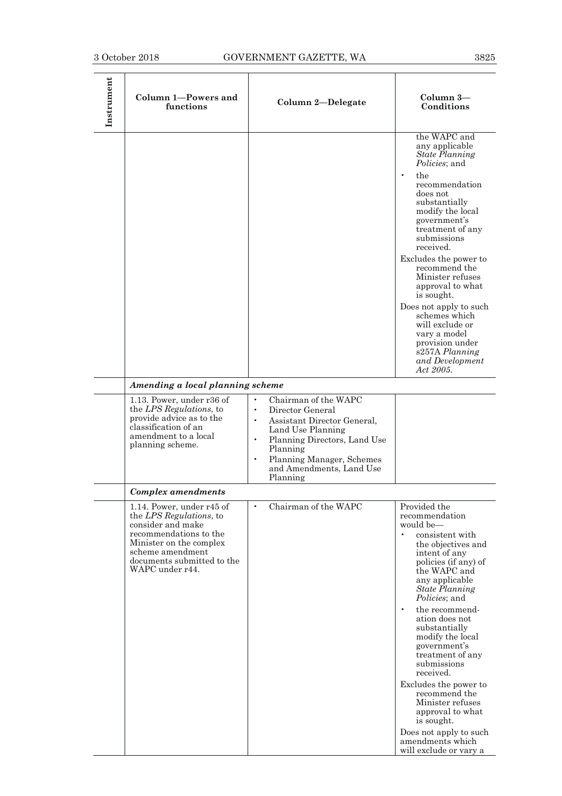| Instrument | Column 1-Powers and<br>functions                                                                                                                                                                    | Column 2-Delegate                                                                                                                                                                                                                                                 | Column 3-<br>Conditions                                                                                                                                                                                                                                                                                                                                                                                                                                                                                                                              |
|------------|-----------------------------------------------------------------------------------------------------------------------------------------------------------------------------------------------------|-------------------------------------------------------------------------------------------------------------------------------------------------------------------------------------------------------------------------------------------------------------------|------------------------------------------------------------------------------------------------------------------------------------------------------------------------------------------------------------------------------------------------------------------------------------------------------------------------------------------------------------------------------------------------------------------------------------------------------------------------------------------------------------------------------------------------------|
|            |                                                                                                                                                                                                     |                                                                                                                                                                                                                                                                   | the WAPC and<br>any applicable<br><b>State Planning</b><br><i>Policies</i> ; and<br>the<br>$\bullet$<br>recommendation<br>does not<br>substantially<br>modify the local<br>government's<br>treatment of any<br>submissions<br>received.<br>Excludes the power to<br>recommend the<br>Minister refuses<br>approval to what<br>is sought.<br>Does not apply to such<br>schemes which<br>will exclude or<br>vary a model<br>provision under<br>s257A Planning<br>and Development<br>Act 2005.                                                           |
|            | Amending a local planning scheme                                                                                                                                                                    |                                                                                                                                                                                                                                                                   |                                                                                                                                                                                                                                                                                                                                                                                                                                                                                                                                                      |
|            | 1.13. Power, under r36 of<br>the LPS Regulations, to<br>provide advice as to the<br>classification of an<br>amendment to a local<br>planning scheme.                                                | Chairman of the WAPC<br>Director General<br>$\bullet$<br>Assistant Director General,<br>$\bullet$<br>Land Use Planning<br>$\bullet$<br>Planning Directors, Land Use<br>Planning<br>$\bullet$<br>Planning Manager, Schemes<br>and Amendments, Land Use<br>Planning |                                                                                                                                                                                                                                                                                                                                                                                                                                                                                                                                                      |
|            | Complex amendments                                                                                                                                                                                  |                                                                                                                                                                                                                                                                   |                                                                                                                                                                                                                                                                                                                                                                                                                                                                                                                                                      |
|            | 1.14. Power, under r45 of<br>the LPS Regulations, to<br>consider and make<br>recommendations to the<br>Minister on the complex<br>scheme amendment<br>documents submitted to the<br>WAPC under r44. | Chairman of the WAPC<br>$\bullet$                                                                                                                                                                                                                                 | Provided the<br>recommendation<br>would be-<br>$\bullet$<br>consistent with<br>the objectives and<br>intent of any<br>policies (if any) of<br>the WAPC and<br>any applicable<br><b>State Planning</b><br>Policies; and<br>$\bullet$<br>the recommend-<br>ation does not<br>substantially<br>modify the local<br>government's<br>treatment of any<br>submissions<br>received.<br>Excludes the power to<br>recommend the<br>Minister refuses<br>approval to what<br>is sought.<br>Does not apply to such<br>amendments which<br>will exclude or vary a |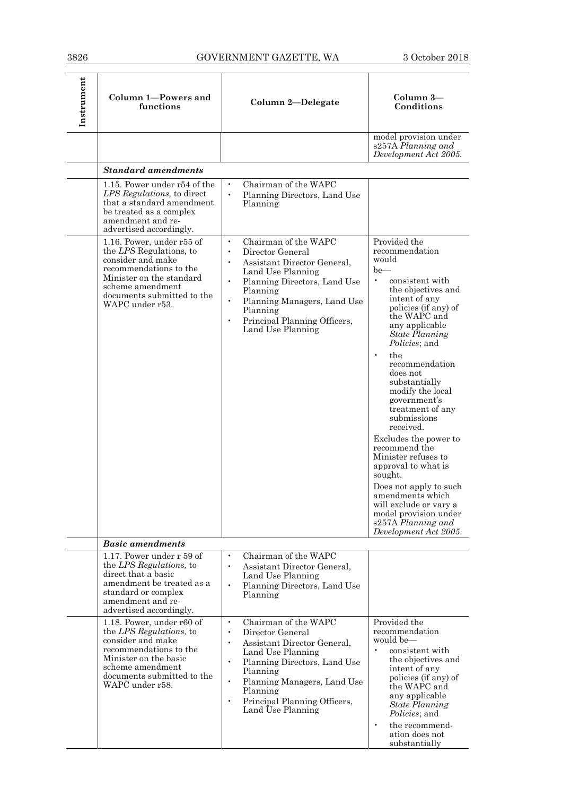| Instrument | Column 1-Powers and<br>functions                                                                                                                                                                     | Column 2-Delegate                                                                                                                                                                                                                                                                                                      | Column 3-<br>Conditions                                                                                                                                                                                                                                                                                                                                                                                                                                                                                                                                                                                                                |
|------------|------------------------------------------------------------------------------------------------------------------------------------------------------------------------------------------------------|------------------------------------------------------------------------------------------------------------------------------------------------------------------------------------------------------------------------------------------------------------------------------------------------------------------------|----------------------------------------------------------------------------------------------------------------------------------------------------------------------------------------------------------------------------------------------------------------------------------------------------------------------------------------------------------------------------------------------------------------------------------------------------------------------------------------------------------------------------------------------------------------------------------------------------------------------------------------|
|            |                                                                                                                                                                                                      |                                                                                                                                                                                                                                                                                                                        | model provision under<br>s257A Planning and<br>Development Act 2005.                                                                                                                                                                                                                                                                                                                                                                                                                                                                                                                                                                   |
|            | <b>Standard amendments</b>                                                                                                                                                                           |                                                                                                                                                                                                                                                                                                                        |                                                                                                                                                                                                                                                                                                                                                                                                                                                                                                                                                                                                                                        |
|            | 1.15. Power under r54 of the<br>LPS Regulations, to direct<br>that a standard amendment<br>be treated as a complex<br>amendment and re-<br>advertised accordingly.                                   | Chairman of the WAPC<br>$\bullet$<br>$\bullet$<br>Planning Directors, Land Use<br>Planning                                                                                                                                                                                                                             |                                                                                                                                                                                                                                                                                                                                                                                                                                                                                                                                                                                                                                        |
|            | 1.16. Power, under r55 of<br>the LPS Regulations, to<br>consider and make<br>recommendations to the<br>Minister on the standard<br>scheme amendment<br>documents submitted to the<br>WAPC under r53. | Chairman of the WAPC<br>$\bullet$<br>Director General<br>$\bullet$<br>Assistant Director General,<br>Land Use Planning<br>$\bullet$<br>Planning Directors, Land Use<br>Planning<br>$\bullet$<br>Planning Managers, Land Use<br>Planning<br>$\bullet$<br>Principal Planning Officers,<br>Land Use Planning              | Provided the<br>recommendation<br>would<br>$be$ —<br>$\bullet$<br>consistent with<br>the objectives and<br>intent of any<br>policies (if any) of<br>the WAPC and<br>any applicable<br><b>State Planning</b><br>Policies; and<br>$\bullet$<br>the<br>recommendation<br>does not<br>substantially<br>modify the local<br>government's<br>treatment of any<br>submissions<br>received.<br>Excludes the power to<br>recommend the<br>Minister refuses to<br>approval to what is<br>sought.<br>Does not apply to such<br>amendments which<br>will exclude or vary a<br>model provision under<br>s257A Planning and<br>Development Act 2005. |
|            | <b>Basic amendments</b>                                                                                                                                                                              |                                                                                                                                                                                                                                                                                                                        |                                                                                                                                                                                                                                                                                                                                                                                                                                                                                                                                                                                                                                        |
|            | 1.17. Power under r 59 of<br>the LPS Regulations, to<br>direct that a basic<br>amendment be treated as a<br>standard or complex<br>amendment and re-<br>advertised accordingly.                      | Chairman of the WAPC<br>$\bullet$<br>$\bullet$<br>Assistant Director General,<br>Land Use Planning<br>$\bullet$<br>Planning Directors, Land Use<br>Planning                                                                                                                                                            |                                                                                                                                                                                                                                                                                                                                                                                                                                                                                                                                                                                                                                        |
|            | 1.18. Power, under r60 of<br>the LPS Regulations, to<br>consider and make<br>recommendations to the<br>Minister on the basic<br>scheme amendment<br>documents submitted to the<br>WAPC under r58.    | Chairman of the WAPC<br>$\bullet$<br>Director General<br>$\bullet$<br>Assistant Director General,<br>$\bullet$<br>Land Use Planning<br>$\bullet$<br>Planning Directors, Land Use<br>Planning<br>Planning Managers, Land Use<br>$\bullet$<br>Planning<br>Principal Planning Officers,<br>$\bullet$<br>Land Use Planning | Provided the<br>recommendation<br>would be—<br>$\bullet$<br>consistent with<br>the objectives and<br>intent of any<br>policies (if any) of<br>the WAPC and<br>any applicable<br><b>State Planning</b><br><i>Policies</i> ; and<br>$\bullet$<br>the recommend-<br>ation does not<br>substantially                                                                                                                                                                                                                                                                                                                                       |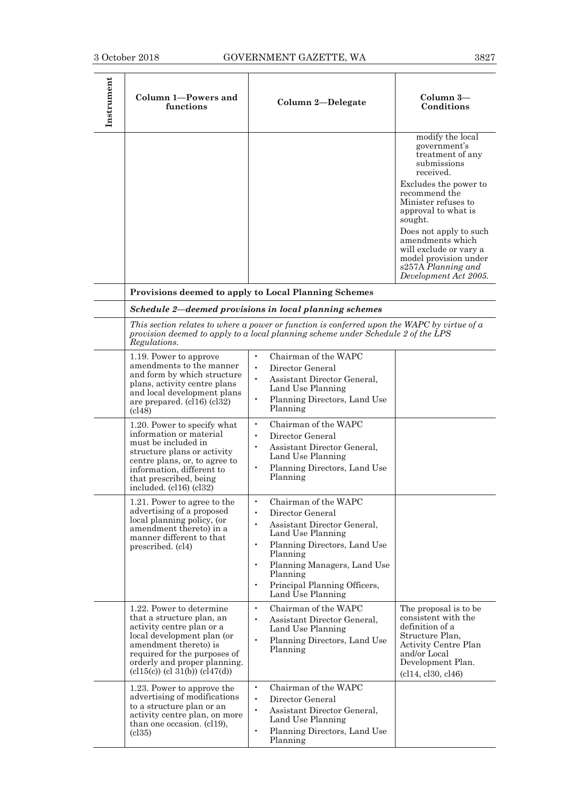| Instrument | Column 1-Powers and<br>functions                                                                                                                                                                                                                     | Column 2-Delegate                                                                                                                                                                                                                                                                                         | Column 3-<br>Conditions                                                                                                                                                                                                                                                                                                             |
|------------|------------------------------------------------------------------------------------------------------------------------------------------------------------------------------------------------------------------------------------------------------|-----------------------------------------------------------------------------------------------------------------------------------------------------------------------------------------------------------------------------------------------------------------------------------------------------------|-------------------------------------------------------------------------------------------------------------------------------------------------------------------------------------------------------------------------------------------------------------------------------------------------------------------------------------|
|            |                                                                                                                                                                                                                                                      |                                                                                                                                                                                                                                                                                                           | modify the local<br>government's<br>treatment of any<br>submissions<br>received.<br>Excludes the power to<br>recommend the<br>Minister refuses to<br>approval to what is<br>sought.<br>Does not apply to such<br>amendments which<br>will exclude or vary a<br>model provision under<br>s257A Planning and<br>Development Act 2005. |
|            |                                                                                                                                                                                                                                                      | Provisions deemed to apply to Local Planning Schemes                                                                                                                                                                                                                                                      |                                                                                                                                                                                                                                                                                                                                     |
|            | Regulations.                                                                                                                                                                                                                                         | Schedule 2-deemed provisions in local planning schemes<br>This section relates to where a power or function is conferred upon the WAPC by virtue of a<br>provision deemed to apply to a local planning scheme under Schedule 2 of the LPS                                                                 |                                                                                                                                                                                                                                                                                                                                     |
|            | 1.19. Power to approve<br>amendments to the manner<br>and form by which structure<br>plans, activity centre plans<br>and local development plans<br>are prepared. (cl16) (cl32)<br>(c148)                                                            | Chairman of the WAPC<br>$\bullet$<br>$\bullet$<br>Director General<br>Assistant Director General,<br>$\bullet$<br>Land Use Planning<br>Planning Directors, Land Use<br>Planning                                                                                                                           |                                                                                                                                                                                                                                                                                                                                     |
|            | 1.20. Power to specify what<br>information or material<br>must be included in<br>structure plans or activity<br>centre plans, or, to agree to<br>information, different to<br>that prescribed, being<br>included. $(cl16)$ $(cl32)$                  | Chairman of the WAPC<br>$\bullet$<br>Director General<br>$\bullet$<br>Assistant Director General,<br>$\bullet$<br>Land Use Planning<br>Planning Directors, Land Use<br>$\bullet$<br>Planning                                                                                                              |                                                                                                                                                                                                                                                                                                                                     |
|            | 1.21. Power to agree to the<br>advertising of a proposed<br>local planning policy, (or<br>amendment thereto) in a<br>manner different to that<br>prescribed. (cl4)                                                                                   | Chairman of the WAPC<br>$\bullet$<br>Director General<br>Assistant Director General,<br>$\bullet$<br>Land Use Planning<br>Planning Directors, Land Use<br>$\bullet$<br>Planning<br>Planning Managers, Land Use<br>$\bullet$<br>Planning<br>Principal Planning Officers,<br>$\bullet$<br>Land Use Planning |                                                                                                                                                                                                                                                                                                                                     |
|            | 1.22. Power to determine<br>that a structure plan, an<br>activity centre plan or a<br>local development plan (or<br>amendment thereto) is<br>required for the purposes of<br>orderly and proper planning.<br>$\text{(cl15(c))}$ (cl 31(b)) (cl47(d)) | $\bullet$<br>Chairman of the WAPC<br>Assistant Director General,<br>Land Use Planning<br>Planning Directors, Land Use<br>$\bullet$<br>Planning                                                                                                                                                            | The proposal is to be<br>consistent with the<br>definition of a<br>Structure Plan,<br>Activity Centre Plan<br>and/or Local<br>Development Plan.<br>(cl14, cl30, cl46)                                                                                                                                                               |
|            | 1.23. Power to approve the<br>advertising of modifications<br>to a structure plan or an<br>activity centre plan, on more<br>than one occasion. (cl19),<br>$\left( \text{cl35}\right)$                                                                | Chairman of the WAPC<br>$\bullet$<br>$\bullet$<br>Director General<br>Assistant Director General,<br>Land Use Planning<br>Planning Directors, Land Use<br>$\bullet$<br>Planning                                                                                                                           |                                                                                                                                                                                                                                                                                                                                     |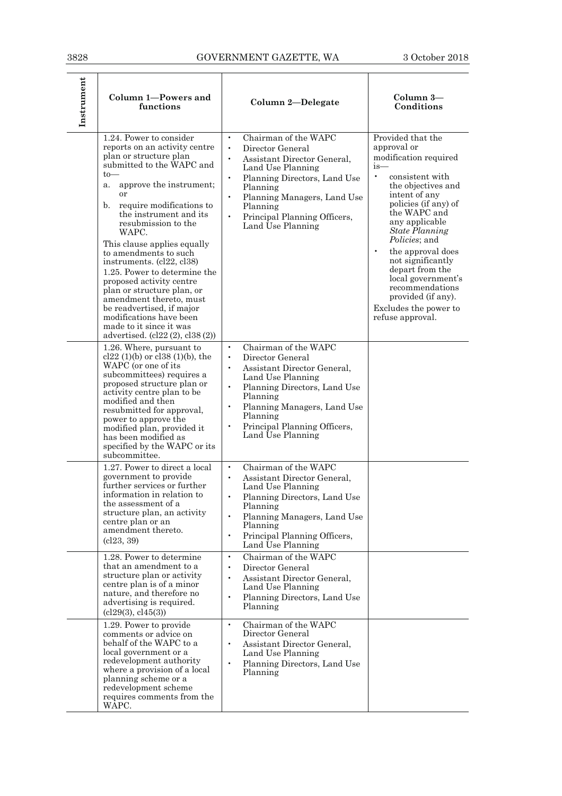| 3828       |                                                                                                                                                                                                                                                                                                                                                                                                                                                                                                                                                                                              | GOVERNMENT GAZETTE, WA                                                                                                                                                                                                                                                                                                 | 3 October 2018                                                                                                                                                                                                                                                                                                                                                                                                                               |
|------------|----------------------------------------------------------------------------------------------------------------------------------------------------------------------------------------------------------------------------------------------------------------------------------------------------------------------------------------------------------------------------------------------------------------------------------------------------------------------------------------------------------------------------------------------------------------------------------------------|------------------------------------------------------------------------------------------------------------------------------------------------------------------------------------------------------------------------------------------------------------------------------------------------------------------------|----------------------------------------------------------------------------------------------------------------------------------------------------------------------------------------------------------------------------------------------------------------------------------------------------------------------------------------------------------------------------------------------------------------------------------------------|
| Instrument | Column 1-Powers and<br>functions                                                                                                                                                                                                                                                                                                                                                                                                                                                                                                                                                             | Column 2-Delegate                                                                                                                                                                                                                                                                                                      | $Column 3-$<br>Conditions                                                                                                                                                                                                                                                                                                                                                                                                                    |
|            | 1.24. Power to consider<br>reports on an activity centre<br>plan or structure plan<br>submitted to the WAPC and<br>$to-$<br>approve the instrument;<br>a.<br>or<br>require modifications to<br>b.<br>the instrument and its<br>resubmission to the<br>WAPC.<br>This clause applies equally<br>to amendments to such<br>instruments. (cl22, cl38)<br>1.25. Power to determine the<br>proposed activity centre<br>plan or structure plan, or<br>amendment thereto, must<br>be readvertised, if major<br>modifications have been<br>made to it since it was<br>advertised. (cl22 (2), cl38 (2)) | Chairman of the WAPC<br>$\bullet$<br>$\bullet$<br>Director General<br>Assistant Director General,<br>$\bullet$<br>Land Use Planning<br>$\bullet$<br>Planning Directors, Land Use<br>Planning<br>$\bullet$<br>Planning Managers, Land Use<br>Planning<br>$\bullet$<br>Principal Planning Officers,<br>Land Use Planning | Provided that the<br>approval or<br>modification required<br>i <sub>s</sub><br>$\bullet$<br>consistent with<br>the objectives and<br>intent of any<br>policies (if any) of<br>the WAPC and<br>any applicable<br><b>State Planning</b><br>Policies; and<br>the approval does<br>$\bullet$<br>not significantly<br>depart from the<br>local government's<br>recommendations<br>provided (if any).<br>Excludes the power to<br>refuse approval. |
|            | 1.26. Where, pursuant to<br>cl22 $(1)(b)$ or cl38 $(1)(b)$ , the<br>WAPC (or one of its<br>subcommittees) requires a<br>proposed structure plan or<br>activity centre plan to be<br>modified and then<br>resubmitted for approval,<br>power to approve the<br>modified plan, provided it<br>has been modified as<br>specified by the WAPC or its<br>subcommittee.                                                                                                                                                                                                                            | Chairman of the WAPC<br>$\bullet$<br>Director General<br>$\bullet$<br>Assistant Director General,<br>$\bullet$<br>Land Use Planning<br>$\bullet$<br>Planning Directors, Land Use<br>Planning<br>Planning Managers, Land Use<br>$\bullet$<br>Planning<br>Principal Planning Officers,<br>$\bullet$<br>Land Use Planning |                                                                                                                                                                                                                                                                                                                                                                                                                                              |
|            | 1.27. Power to direct a local<br>government to provide<br>further services or further<br>information in relation to<br>the assessment of a<br>structure plan, an activity<br>centre plan or an<br>amendment thereto.<br>cl23, 39)                                                                                                                                                                                                                                                                                                                                                            | Chairman of the WAPC<br>$\bullet$<br>Assistant Director General,<br>$\bullet$<br>Land Use Planning<br>Planning Directors, Land Use<br>$\bullet$<br>Planning<br>$\bullet$<br>Planning Managers, Land Use<br>Planning<br>Principal Planning Officers,<br>$\bullet$<br>Land Use Planning                                  |                                                                                                                                                                                                                                                                                                                                                                                                                                              |
|            | 1.28. Power to determine<br>that an amendment to a<br>structure plan or activity<br>centre plan is of a minor<br>nature, and therefore no<br>advertising is required.<br>cl29(3), cl45(3))                                                                                                                                                                                                                                                                                                                                                                                                   | Chairman of the WAPC<br>$\bullet$<br>Director General<br>$\bullet$<br>Assistant Director General,<br>$\bullet$<br>Land Use Planning<br>$\bullet$<br>Planning Directors, Land Use<br>Planning                                                                                                                           |                                                                                                                                                                                                                                                                                                                                                                                                                                              |
|            | 1.29. Power to provide<br>comments or advice on<br>behalf of the WAPC to a<br>local government or a<br>redevelopment authority<br>where a provision of a local<br>planning scheme or a<br>redevelopment scheme<br>requires comments from the<br>WAPC.                                                                                                                                                                                                                                                                                                                                        | Chairman of the WAPC<br>$\bullet$<br>Director General<br>Assistant Director General,<br>$\bullet$<br>Land Use Planning<br>$\bullet$<br>Planning Directors, Land Use<br>Planning                                                                                                                                        |                                                                                                                                                                                                                                                                                                                                                                                                                                              |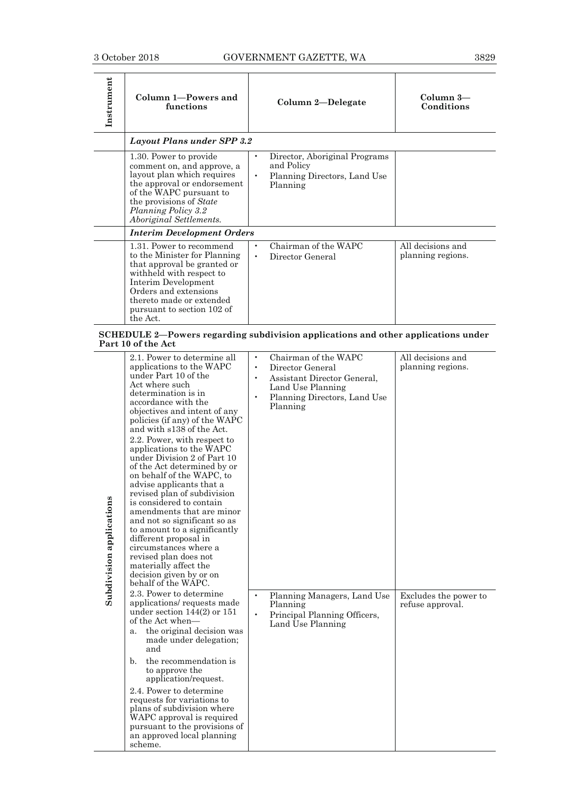| Instrument                                                                                              | Column 1-Powers and<br>functions                                                                                                                                                                                                          | Column 2-Delegate                                                                                    | $Column$ 3—<br>Conditions              |
|---------------------------------------------------------------------------------------------------------|-------------------------------------------------------------------------------------------------------------------------------------------------------------------------------------------------------------------------------------------|------------------------------------------------------------------------------------------------------|----------------------------------------|
|                                                                                                         | Layout Plans under SPP 3.2                                                                                                                                                                                                                |                                                                                                      |                                        |
|                                                                                                         | 1.30. Power to provide<br>comment on, and approve, a<br>layout plan which requires<br>the approval or endorsement<br>of the WAPC pursuant to<br>the provisions of State<br>Planning Policy 3.2<br>Aboriginal Settlements.                 | Director, Aboriginal Programs<br>and Policy<br>Planning Directors, Land Use<br>$\bullet$<br>Planning |                                        |
|                                                                                                         | <b>Interim Development Orders</b>                                                                                                                                                                                                         |                                                                                                      |                                        |
|                                                                                                         | 1.31. Power to recommend<br>to the Minister for Planning<br>that approval be granted or<br>withheld with respect to<br>Interim Development<br>Orders and extensions<br>thereto made or extended<br>pursuant to section 102 of<br>the Act. | Chairman of the WAPC<br>٠<br>Director General                                                        | All decisions and<br>planning regions. |
| SCHEDULE 2—Powers regarding subdivision applications and other applications under<br>Part 10 of the Act |                                                                                                                                                                                                                                           |                                                                                                      |                                        |

| Subdivision applications | 2.1. Power to determine all<br>applications to the WAPC<br>under Part 10 of the<br>Act where such<br>determination is in<br>accordance with the<br>objectives and intent of any<br>policies (if any) of the WAPC<br>and with s138 of the Act.<br>2.2. Power, with respect to<br>applications to the WAPC<br>under Division 2 of Part 10<br>of the Act determined by or<br>on behalf of the WAPC, to<br>advise applicants that a<br>revised plan of subdivision<br>is considered to contain<br>amendments that are minor<br>and not so significant so as<br>to amount to a significantly<br>different proposal in<br>circumstances where a<br>revised plan does not<br>materially affect the<br>decision given by or on<br>behalf of the WAPC. | ۰<br>$\bullet$<br>$\bullet$<br>$\bullet$ | Chairman of the WAPC<br>Director General<br>Assistant Director General,<br>Land Use Planning<br>Planning Directors, Land Use<br>Planning | All decisions and<br>planning regions.    |
|--------------------------|-----------------------------------------------------------------------------------------------------------------------------------------------------------------------------------------------------------------------------------------------------------------------------------------------------------------------------------------------------------------------------------------------------------------------------------------------------------------------------------------------------------------------------------------------------------------------------------------------------------------------------------------------------------------------------------------------------------------------------------------------|------------------------------------------|------------------------------------------------------------------------------------------------------------------------------------------|-------------------------------------------|
|                          | 2.3. Power to determine<br>applications/requests made<br>under section $144(2)$ or $151$<br>of the Act when-<br>the original decision was<br>a.<br>made under delegation;<br>and<br>the recommendation is<br>$\mathbf{b}$ .                                                                                                                                                                                                                                                                                                                                                                                                                                                                                                                   | $\bullet$<br>$\bullet$                   | Planning Managers, Land Use<br>Planning<br>Principal Planning Officers,<br>Land Use Planning                                             | Excludes the power to<br>refuse approval. |
|                          | to approve the<br>application/request.<br>2.4. Power to determine<br>requests for variations to<br>plans of subdivision where<br>WAPC approval is required<br>pursuant to the provisions of<br>an approved local planning<br>scheme.                                                                                                                                                                                                                                                                                                                                                                                                                                                                                                          |                                          |                                                                                                                                          |                                           |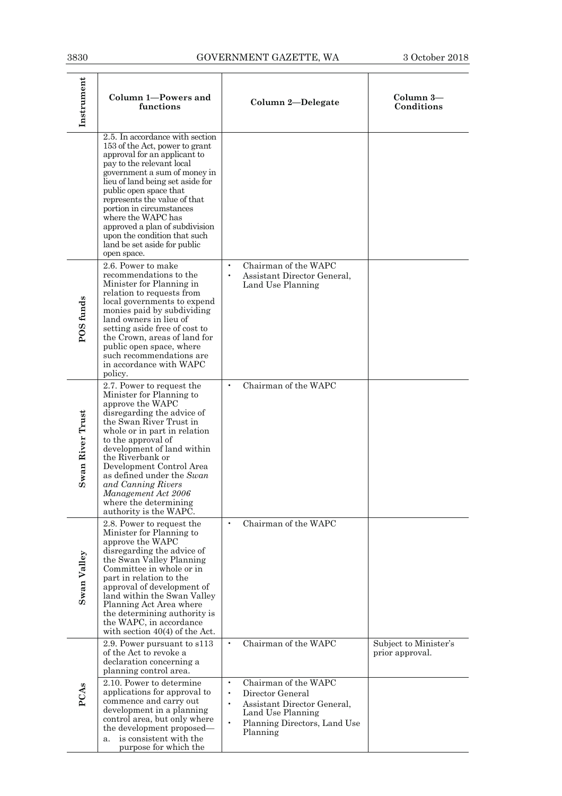$\overline{\phantom{a}}$ 

| Instrument       | <b>Column 1-Powers and</b><br>functions                                                                                                                                                                                                                                                                                                                                                                                         | Column 2-Delegate                                                                                                                                                                                                                 | Column 3-<br>Conditions                  |
|------------------|---------------------------------------------------------------------------------------------------------------------------------------------------------------------------------------------------------------------------------------------------------------------------------------------------------------------------------------------------------------------------------------------------------------------------------|-----------------------------------------------------------------------------------------------------------------------------------------------------------------------------------------------------------------------------------|------------------------------------------|
|                  | 2.5. In accordance with section<br>153 of the Act, power to grant<br>approval for an applicant to<br>pay to the relevant local<br>government a sum of money in<br>lieu of land being set aside for<br>public open space that<br>represents the value of that<br>portion in circumstances<br>where the WAPC has<br>approved a plan of subdivision<br>upon the condition that such<br>land be set aside for public<br>open space. |                                                                                                                                                                                                                                   |                                          |
| POS funds        | 2.6. Power to make<br>recommendations to the<br>Minister for Planning in<br>relation to requests from<br>local governments to expend<br>monies paid by subdividing<br>land owners in lieu of<br>setting aside free of cost to<br>the Crown, areas of land for<br>public open space, where<br>such recommendations are<br>in accordance with WAPC<br>policy.                                                                     | Chairman of the WAPC<br>$\bullet$<br>Assistant Director General,<br>$\bullet$<br>Land Use Planning                                                                                                                                |                                          |
| Swan River Trust | 2.7. Power to request the<br>Minister for Planning to<br>approve the WAPC<br>disregarding the advice of<br>the Swan River Trust in<br>whole or in part in relation<br>to the approval of<br>development of land within<br>the Riverbank or<br>Development Control Area<br>as defined under the Swan<br>and Canning Rivers<br>Management Act 2006<br>where the determining<br>authority is the WAPC.                             | Chairman of the WAPC<br>$\bullet$                                                                                                                                                                                                 |                                          |
| Swan Valley      | 2.8. Power to request the<br>Minister for Planning to<br>approve the WAPC<br>disregarding the advice of<br>the Swan Valley Planning<br>Committee in whole or in<br>part in relation to the<br>approval of development of<br>land within the Swan Valley<br>Planning Act Area where<br>the determining authority is<br>the WAPC, in accordance<br>with section $40(4)$ of the Act.                                               | Chairman of the WAPC<br>$\bullet$                                                                                                                                                                                                 |                                          |
| PCAs             | 2.9. Power pursuant to s113<br>of the Act to revoke a<br>declaration concerning a<br>planning control area.<br>2.10. Power to determine<br>applications for approval to<br>commence and carry out<br>development in a planning<br>control area, but only where<br>the development proposed—<br>is consistent with the<br>a.<br>purpose for which the                                                                            | Chairman of the WAPC<br>$\bullet$<br>Chairman of the WAPC<br>$\bullet$<br>Director General<br>$\bullet$<br>Assistant Director General,<br>$\bullet$<br>Land Use Planning<br>Planning Directors, Land Use<br>$\bullet$<br>Planning | Subject to Minister's<br>prior approval. |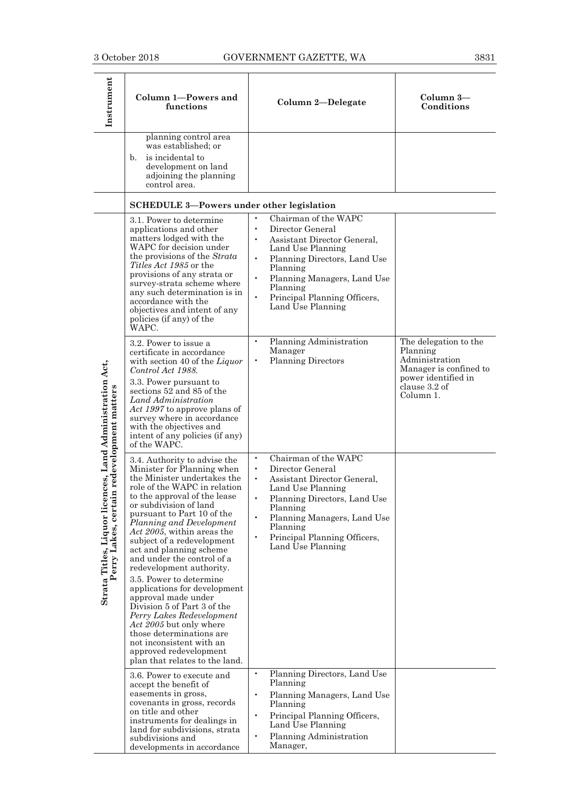| Instrument                                                                                               | Column 1-Powers and<br>functions                                                                                                                                                                                                                                                                                                                                                                                                                                                                                                                                                                                                                          | Column 2-Delegate                                                                                                                                                                                                                                                                                                      | Column 3-<br>Conditions                                                                                                            |
|----------------------------------------------------------------------------------------------------------|-----------------------------------------------------------------------------------------------------------------------------------------------------------------------------------------------------------------------------------------------------------------------------------------------------------------------------------------------------------------------------------------------------------------------------------------------------------------------------------------------------------------------------------------------------------------------------------------------------------------------------------------------------------|------------------------------------------------------------------------------------------------------------------------------------------------------------------------------------------------------------------------------------------------------------------------------------------------------------------------|------------------------------------------------------------------------------------------------------------------------------------|
|                                                                                                          | planning control area<br>was established; or<br>is incidental to<br>b.<br>development on land<br>adjoining the planning<br>control area.                                                                                                                                                                                                                                                                                                                                                                                                                                                                                                                  |                                                                                                                                                                                                                                                                                                                        |                                                                                                                                    |
|                                                                                                          | <b>SCHEDULE 3-Powers under other legislation</b>                                                                                                                                                                                                                                                                                                                                                                                                                                                                                                                                                                                                          |                                                                                                                                                                                                                                                                                                                        |                                                                                                                                    |
| Strata Titles, Liquor licences, Land Administration Act,<br>redevelopment matters<br>erry Lakes, certain | 3.1. Power to determine<br>applications and other<br>matters lodged with the<br>WAPC for decision under<br>the provisions of the Strata<br>Titles Act 1985 or the<br>provisions of any strata or<br>survey-strata scheme where<br>any such determination is in<br>accordance with the<br>objectives and intent of any<br>policies (if any) of the<br>WAPC.                                                                                                                                                                                                                                                                                                | $\bullet$<br>Chairman of the WAPC<br>Director General<br>$\bullet$<br>Assistant Director General,<br>Land Use Planning<br>$\bullet$<br>Planning Directors, Land Use<br>Planning<br>$\bullet$<br>Planning Managers, Land Use<br>Planning<br>$\bullet$<br>Principal Planning Officers,<br>Land Use Planning              |                                                                                                                                    |
|                                                                                                          | 3.2. Power to issue a<br>certificate in accordance<br>with section 40 of the Liquor<br>Control Act 1988.<br>3.3. Power pursuant to<br>sections 52 and 85 of the<br>Land Administration<br>Act 1997 to approve plans of<br>survey where in accordance<br>with the objectives and<br>intent of any policies (if any)<br>of the WAPC.                                                                                                                                                                                                                                                                                                                        | Planning Administration<br>$\bullet$<br>Manager<br><b>Planning Directors</b><br>$\bullet$                                                                                                                                                                                                                              | The delegation to the<br>Planning<br>Administration<br>Manager is confined to<br>power identified in<br>clause 3.2 of<br>Column 1. |
|                                                                                                          | 3.4. Authority to advise the<br>Minister for Planning when<br>the Minister undertakes the<br>role of the WAPC in relation<br>to the approval of the lease<br>or subdivision of land<br>pursuant to Part 10 of the<br>Planning and Development<br>Act 2005, within areas the<br>subject of a redevelopment<br>act and planning scheme<br>and under the control of a<br>redevelopment authority.<br>3.5. Power to determine<br>applications for development<br>approval made under<br>Division 5 of Part 3 of the<br>Perry Lakes Redevelopment<br>Act 2005 but only where<br>those determinations are<br>not inconsistent with an<br>approved redevelopment | Chairman of the WAPC<br>$\bullet$<br>Director General<br>$\bullet$<br>Assistant Director General,<br>$\bullet$<br>Land Use Planning<br>$\bullet$<br>Planning Directors, Land Use<br>Planning<br>Planning Managers, Land Use<br>$\bullet$<br>Planning<br>$\bullet$<br>Principal Planning Officers,<br>Land Use Planning |                                                                                                                                    |
|                                                                                                          | plan that relates to the land.<br>3.6. Power to execute and<br>accept the benefit of<br>easements in gross,<br>covenants in gross, records<br>on title and other<br>instruments for dealings in<br>land for subdivisions, strata<br>subdivisions and<br>developments in accordance                                                                                                                                                                                                                                                                                                                                                                        | $\bullet$<br>Planning Directors, Land Use<br>Planning<br>Planning Managers, Land Use<br>$\bullet$<br>Planning<br>Principal Planning Officers,<br>$\bullet$<br>Land Use Planning<br>$\bullet$<br>Planning Administration<br>Manager,                                                                                    |                                                                                                                                    |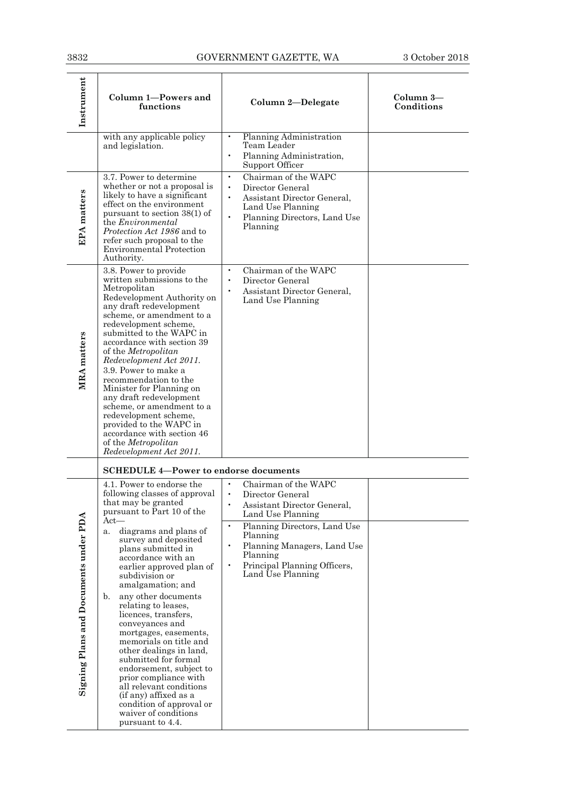| Instrument                            | Column 1-Powers and<br>functions                                                                                                                                                                                                                                                                                                                                                                                                                                                                                                                                        | Column 2-Delegate                                                                                                                                                               | Column 3-<br>Conditions |
|---------------------------------------|-------------------------------------------------------------------------------------------------------------------------------------------------------------------------------------------------------------------------------------------------------------------------------------------------------------------------------------------------------------------------------------------------------------------------------------------------------------------------------------------------------------------------------------------------------------------------|---------------------------------------------------------------------------------------------------------------------------------------------------------------------------------|-------------------------|
|                                       | with any applicable policy<br>and legislation.                                                                                                                                                                                                                                                                                                                                                                                                                                                                                                                          | Planning Administration<br>$\bullet$<br>Team Leader<br>$\bullet$<br>Planning Administration,<br>Support Officer                                                                 |                         |
| <b>EPA</b> matters                    | 3.7. Power to determine<br>whether or not a proposal is<br>likely to have a significant<br>effect on the environment<br>pursuant to section 38(1) of<br>the <i>Environmental</i><br>Protection Act 1986 and to<br>refer such proposal to the<br><b>Environmental Protection</b><br>Authority.                                                                                                                                                                                                                                                                           | Chairman of the WAPC<br>$\bullet$<br>Director General<br>$\bullet$<br>Assistant Director General,<br>Land Use Planning<br>$\bullet$<br>Planning Directors, Land Use<br>Planning |                         |
| <b>MRA</b> matters                    | 3.8. Power to provide<br>written submissions to the<br>Metropolitan<br>Redevelopment Authority on<br>any draft redevelopment<br>scheme, or amendment to a<br>redevelopment scheme,<br>submitted to the WAPC in<br>accordance with section 39<br>of the Metropolitan<br>Redevelopment Act 2011.<br>3.9. Power to make a<br>recommendation to the<br>Minister for Planning on<br>any draft redevelopment<br>scheme, or amendment to a<br>redevelopment scheme,<br>provided to the WAPC in<br>accordance with section 46<br>of the Metropolitan<br>Redevelopment Act 2011. | Chairman of the WAPC<br>$\bullet$<br>Director General<br>$\bullet$<br>Assistant Director General,<br>$\bullet$<br>Land Use Planning                                             |                         |
|                                       | <b>SCHEDULE 4-Power to endorse documents</b>                                                                                                                                                                                                                                                                                                                                                                                                                                                                                                                            |                                                                                                                                                                                 |                         |
|                                       | 4.1. Power to endorse the<br>following classes of approval<br>that may be granted<br>pursuant to Part 10 of the                                                                                                                                                                                                                                                                                                                                                                                                                                                         | Chairman of the WAPC<br>$\bullet$<br>Director General<br>Assistant Director General,<br>Land Use Planning                                                                       |                         |
| Signing Plans and Documents under PDA | $Act-$<br>diagrams and plans of<br>a.<br>survey and deposited<br>plans submitted in<br>accordance with an<br>earlier approved plan of<br>subdivision or<br>amalgamation; and<br>any other documents<br>b.<br>relating to leases.<br>licences, transfers,<br>conveyances and<br>mortgages, easements,<br>memorials on title and<br>other dealings in land,<br>submitted for formal<br>endorsement, subject to<br>prior compliance with<br>all relevant conditions<br>(if any) affixed as a<br>condition of approval or<br>waiver of conditions<br>pursuant to 4.4.       | $\bullet$<br>Planning Directors, Land Use<br>Planning<br>$\bullet$<br>Planning Managers, Land Use<br>Planning<br>Principal Planning Officers,<br>Land Use Planning              |                         |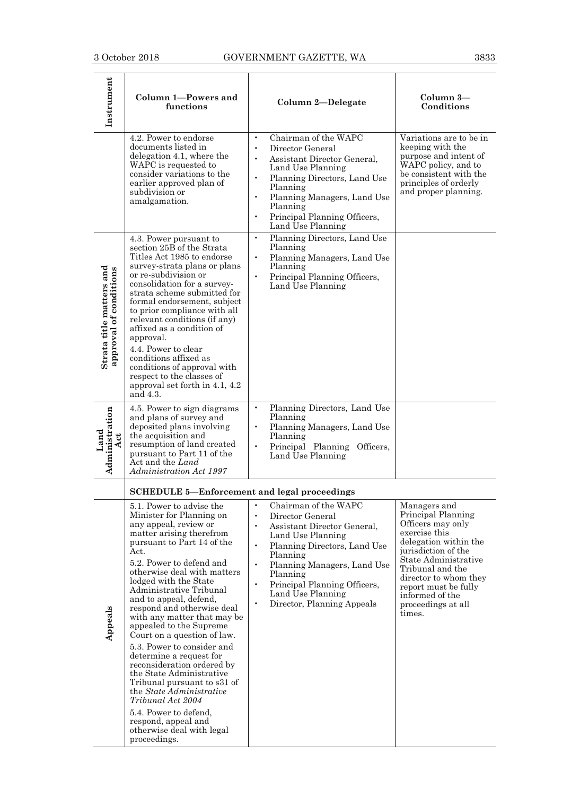| Instrument                                         | Column 1-Powers and<br>functions                                                                                                                                                                                                                                                                                                                                                                                                                                                                                                                                                                                                                   | Column 2-Delegate                                                                                                                                                                                                                                                                                                                                    | Column 3-<br>Conditions                                                                                                                                                                                                                                                  |
|----------------------------------------------------|----------------------------------------------------------------------------------------------------------------------------------------------------------------------------------------------------------------------------------------------------------------------------------------------------------------------------------------------------------------------------------------------------------------------------------------------------------------------------------------------------------------------------------------------------------------------------------------------------------------------------------------------------|------------------------------------------------------------------------------------------------------------------------------------------------------------------------------------------------------------------------------------------------------------------------------------------------------------------------------------------------------|--------------------------------------------------------------------------------------------------------------------------------------------------------------------------------------------------------------------------------------------------------------------------|
|                                                    | 4.2. Power to endorse<br>documents listed in<br>delegation 4.1, where the<br>WAPC is requested to<br>consider variations to the<br>earlier approved plan of<br>subdivision or<br>amalgamation.                                                                                                                                                                                                                                                                                                                                                                                                                                                     | Chairman of the WAPC<br>Director General<br>$\bullet$<br>Assistant Director General,<br>$\bullet$<br>Land Use Planning<br>Planning Directors, Land Use<br>Planning<br>Planning Managers, Land Use<br>$\bullet$<br>Planning<br>Principal Planning Officers,<br>$\bullet$<br>Land Use Planning                                                         | Variations are to be in<br>keeping with the<br>purpose and intent of<br>WAPC policy, and to<br>be consistent with the<br>principles of orderly<br>and proper planning.                                                                                                   |
| Strata title matters and<br>approval of conditions | 4.3. Power pursuant to<br>section 25B of the Strata<br>Titles Act 1985 to endorse<br>survey-strata plans or plans<br>or re-subdivision or<br>consolidation for a survey-<br>strata scheme submitted for<br>formal endorsement, subject<br>to prior compliance with all<br>relevant conditions (if any)<br>affixed as a condition of<br>approval.<br>4.4. Power to clear<br>conditions affixed as<br>conditions of approval with<br>respect to the classes of<br>approval set forth in 4.1, 4.2<br>and 4.3.                                                                                                                                         | Planning Directors, Land Use<br>$\bullet$<br>Planning<br>Planning Managers, Land Use<br>Planning<br>Principal Planning Officers,<br>$\bullet$<br>Land Use Planning                                                                                                                                                                                   |                                                                                                                                                                                                                                                                          |
| Administration<br>Land<br>Act                      | 4.5. Power to sign diagrams<br>and plans of survey and<br>deposited plans involving<br>the acquisition and<br>resumption of land created<br>pursuant to Part 11 of the<br>Act and the Land<br>Administration Act 1997                                                                                                                                                                                                                                                                                                                                                                                                                              | Planning Directors, Land Use<br>$\bullet$<br>Planning<br>Planning Managers, Land Use<br>Planning<br>Principal Planning Officers,<br>$\bullet$<br>Land Use Planning                                                                                                                                                                                   |                                                                                                                                                                                                                                                                          |
|                                                    | <b>SCHEDULE 5-Enforcement and legal proceedings</b>                                                                                                                                                                                                                                                                                                                                                                                                                                                                                                                                                                                                |                                                                                                                                                                                                                                                                                                                                                      |                                                                                                                                                                                                                                                                          |
| Appeals                                            | 5.1. Power to advise the<br>Minister for Planning on<br>any appeal, review or<br>matter arising therefrom<br>pursuant to Part 14 of the<br>Act.<br>5.2. Power to defend and<br>otherwise deal with matters<br>lodged with the State<br>Administrative Tribunal<br>and to appeal, defend,<br>respond and otherwise deal<br>with any matter that may be<br>appealed to the Supreme<br>Court on a question of law.<br>5.3. Power to consider and<br>determine a request for<br>reconsideration ordered by<br>the State Administrative<br>Tribunal pursuant to s31 of<br>the <i>State Administrative</i><br>Tribunal Act 2004<br>5.4. Power to defend, | $\bullet$<br>Chairman of the WAPC<br>$\bullet$<br>Director General<br>Assistant Director General.<br>$\bullet$<br>Land Use Planning<br>$\bullet$<br>Planning Directors, Land Use<br>Planning<br>Planning Managers, Land Use<br>$\bullet$<br>Planning<br>Principal Planning Officers,<br>$\bullet$<br>Land Use Planning<br>Director, Planning Appeals | Managers and<br>Principal Planning<br>Officers may only<br>exercise this<br>delegation within the<br>jurisdiction of the<br>State Administrative<br>Tribunal and the<br>director to whom they<br>report must be fully<br>informed of the<br>proceedings at all<br>times. |
|                                                    | respond, appeal and<br>otherwise deal with legal<br>proceedings.                                                                                                                                                                                                                                                                                                                                                                                                                                                                                                                                                                                   |                                                                                                                                                                                                                                                                                                                                                      |                                                                                                                                                                                                                                                                          |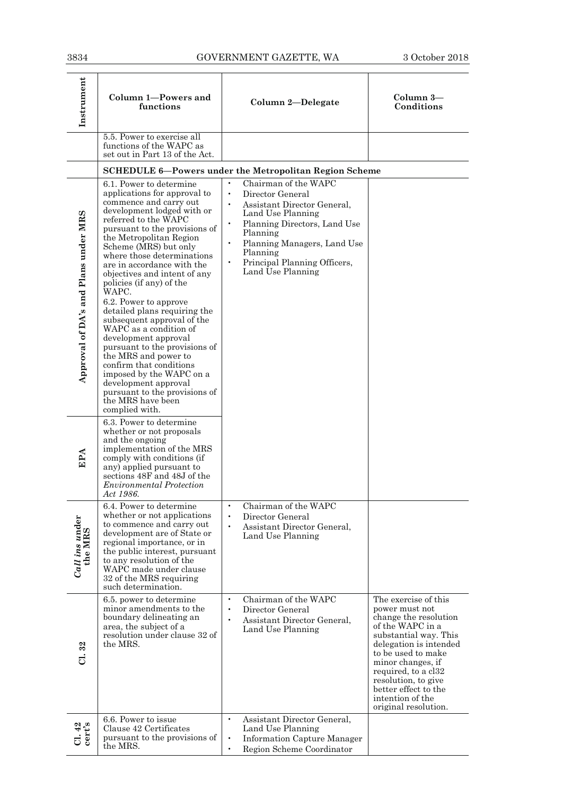| Instrument                           | Column 1-Powers and<br>functions                                                                                                                                                                                                                                                                                                                                                                                                                                                                                                                                                                                                                                                                                       | Column 2-Delegate                                                                                                                                                                                                                                                                            | Column 3-<br>Conditions                                                                                                                                                                                                                                                                             |
|--------------------------------------|------------------------------------------------------------------------------------------------------------------------------------------------------------------------------------------------------------------------------------------------------------------------------------------------------------------------------------------------------------------------------------------------------------------------------------------------------------------------------------------------------------------------------------------------------------------------------------------------------------------------------------------------------------------------------------------------------------------------|----------------------------------------------------------------------------------------------------------------------------------------------------------------------------------------------------------------------------------------------------------------------------------------------|-----------------------------------------------------------------------------------------------------------------------------------------------------------------------------------------------------------------------------------------------------------------------------------------------------|
|                                      | 5.5. Power to exercise all<br>functions of the WAPC as<br>set out in Part 13 of the Act.                                                                                                                                                                                                                                                                                                                                                                                                                                                                                                                                                                                                                               |                                                                                                                                                                                                                                                                                              |                                                                                                                                                                                                                                                                                                     |
|                                      |                                                                                                                                                                                                                                                                                                                                                                                                                                                                                                                                                                                                                                                                                                                        | <b>SCHEDULE 6-Powers under the Metropolitan Region Scheme</b>                                                                                                                                                                                                                                |                                                                                                                                                                                                                                                                                                     |
| Approval of DA's and Plans under MRS | 6.1. Power to determine<br>applications for approval to<br>commence and carry out<br>development lodged with or<br>referred to the WAPC<br>pursuant to the provisions of<br>the Metropolitan Region<br>Scheme (MRS) but only<br>where those determinations<br>are in accordance with the<br>objectives and intent of any<br>policies (if any) of the<br>WAPC.<br>6.2. Power to approve<br>detailed plans requiring the<br>subsequent approval of the<br>WAPC as a condition of<br>development approval<br>pursuant to the provisions of<br>the MRS and power to<br>confirm that conditions<br>imposed by the WAPC on a<br>development approval<br>pursuant to the provisions of<br>the MRS have been<br>complied with. | Chairman of the WAPC<br>Director General<br>Assistant Director General,<br>$\bullet$<br>Land Use Planning<br>Planning Directors, Land Use<br>$\bullet$<br>Planning<br>Planning Managers, Land Use<br>$\bullet$<br>Planning<br>Principal Planning Officers,<br>$\bullet$<br>Land Use Planning |                                                                                                                                                                                                                                                                                                     |
| EPA                                  | 6.3. Power to determine<br>whether or not proposals<br>and the ongoing<br>implementation of the MRS<br>comply with conditions (if<br>any) applied pursuant to<br>sections 48F and 48J of the<br><b>Environmental Protection</b><br>Act 1986.                                                                                                                                                                                                                                                                                                                                                                                                                                                                           |                                                                                                                                                                                                                                                                                              |                                                                                                                                                                                                                                                                                                     |
| $Call$ ins under<br>the MRS          | 6.4. Power to determine<br>whether or not applications<br>to commence and carry out<br>development are of State or<br>regional importance, or in<br>the public interest, pursuant<br>to any resolution of the<br>WAPC made under clause<br>32 of the MRS requiring<br>such determination.                                                                                                                                                                                                                                                                                                                                                                                                                              | Chairman of the WAPC<br>$\bullet$<br>Director General<br>$\bullet$<br>Assistant Director General,<br>$\bullet$<br>Land Use Planning                                                                                                                                                          |                                                                                                                                                                                                                                                                                                     |
| 32<br>ಕ                              | 6.5. power to determine<br>minor amendments to the<br>boundary delineating an<br>area, the subject of a<br>resolution under clause 32 of<br>the MRS.                                                                                                                                                                                                                                                                                                                                                                                                                                                                                                                                                                   | Chairman of the WAPC<br>$\bullet$<br>Director General<br>$\bullet$<br>Assistant Director General,<br>$\bullet$<br>Land Use Planning                                                                                                                                                          | The exercise of this<br>power must not<br>change the resolution<br>of the WAPC in a<br>substantial way. This<br>delegation is intended<br>to be used to make<br>minor changes, if<br>required, to a cl32<br>resolution, to give<br>better effect to the<br>intention of the<br>original resolution. |
| $CL.42$<br>cert's                    | 6.6. Power to issue<br>Clause 42 Certificates<br>pursuant to the provisions of<br>the MRS.                                                                                                                                                                                                                                                                                                                                                                                                                                                                                                                                                                                                                             | Assistant Director General,<br>$\bullet$<br>Land Use Planning<br><b>Information Capture Manager</b><br>$\bullet$<br>Region Scheme Coordinator                                                                                                                                                |                                                                                                                                                                                                                                                                                                     |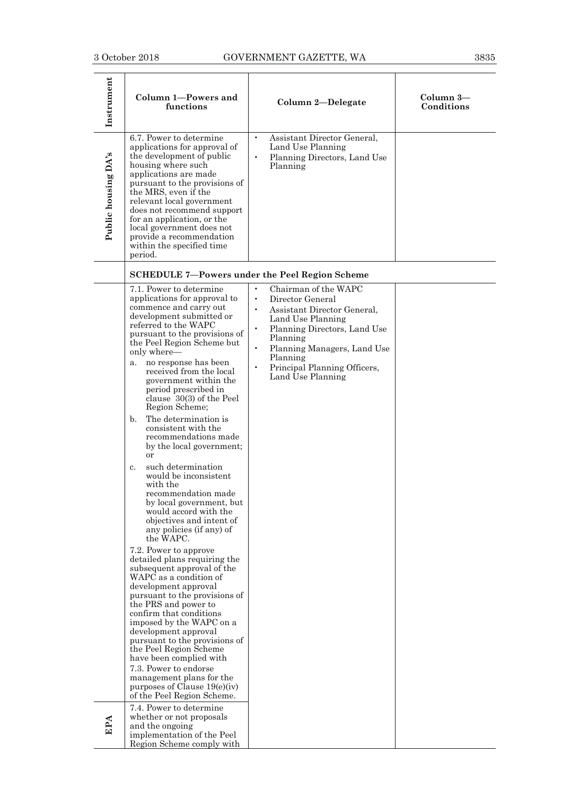| Instrument          | Column 1-Powers and<br>functions                                                                                                                                                                                                                                                                                                                                                                                                                                                                                                                                                                                                                                                                                                                                                                                                                                                                                                                                                                                                                                                                                                                                                                                                | Column 2-Delegate                                                                                                                                                                                                                                                                                         | Column 3-<br>Conditions |
|---------------------|---------------------------------------------------------------------------------------------------------------------------------------------------------------------------------------------------------------------------------------------------------------------------------------------------------------------------------------------------------------------------------------------------------------------------------------------------------------------------------------------------------------------------------------------------------------------------------------------------------------------------------------------------------------------------------------------------------------------------------------------------------------------------------------------------------------------------------------------------------------------------------------------------------------------------------------------------------------------------------------------------------------------------------------------------------------------------------------------------------------------------------------------------------------------------------------------------------------------------------|-----------------------------------------------------------------------------------------------------------------------------------------------------------------------------------------------------------------------------------------------------------------------------------------------------------|-------------------------|
| Public housing DA's | 6.7. Power to determine<br>applications for approval of<br>the development of public<br>housing where such<br>applications are made<br>pursuant to the provisions of<br>the MRS, even if the<br>relevant local government<br>does not recommend support<br>for an application, or the<br>local government does not<br>provide a recommendation<br>within the specified time<br>period.                                                                                                                                                                                                                                                                                                                                                                                                                                                                                                                                                                                                                                                                                                                                                                                                                                          | $\bullet$<br>Assistant Director General,<br>Land Use Planning<br>Planning Directors, Land Use<br>$\bullet$<br>Planning                                                                                                                                                                                    |                         |
|                     |                                                                                                                                                                                                                                                                                                                                                                                                                                                                                                                                                                                                                                                                                                                                                                                                                                                                                                                                                                                                                                                                                                                                                                                                                                 | <b>SCHEDULE 7-Powers under the Peel Region Scheme</b>                                                                                                                                                                                                                                                     |                         |
|                     | 7.1. Power to determine<br>applications for approval to<br>commence and carry out<br>development submitted or<br>referred to the WAPC<br>pursuant to the provisions of<br>the Peel Region Scheme but<br>only where-<br>no response has been<br>a.<br>received from the local<br>government within the<br>period prescribed in<br>clause $30(3)$ of the Peel<br>Region Scheme;<br>The determination is<br>$\mathbf{b}$ .<br>consistent with the<br>recommendations made<br>by the local government;<br>or<br>such determination<br>$c_{\cdot}$<br>would be inconsistent<br>with the<br>recommendation made<br>by local government, but<br>would accord with the<br>objectives and intent of<br>any policies (if any) of<br>the WAPC.<br>7.2. Power to approve<br>detailed plans requiring the<br>subsequent approval of the<br>WAPC as a condition of<br>development approval<br>pursuant to the provisions of<br>the PRS and power to<br>confirm that conditions<br>imposed by the WAPC on a<br>development approval<br>pursuant to the provisions of<br>the Peel Region Scheme<br>have been complied with<br>7.3. Power to endorse<br>management plans for the<br>purposes of Clause $19(e)(iv)$<br>of the Peel Region Scheme. | Chairman of the WAPC<br>$\bullet$<br>$\bullet$<br>Director General<br>$\bullet$<br>Assistant Director General.<br>Land Use Planning<br>Planning Directors, Land Use<br>$\bullet$<br>Planning<br>$\bullet$<br>Planning Managers, Land Use<br>Planning<br>Principal Planning Officers,<br>Land Use Planning |                         |
| <b>EPA</b>          | 7.4. Power to determine<br>whether or not proposals<br>and the ongoing<br>implementation of the Peel                                                                                                                                                                                                                                                                                                                                                                                                                                                                                                                                                                                                                                                                                                                                                                                                                                                                                                                                                                                                                                                                                                                            |                                                                                                                                                                                                                                                                                                           |                         |

Region Scheme comply with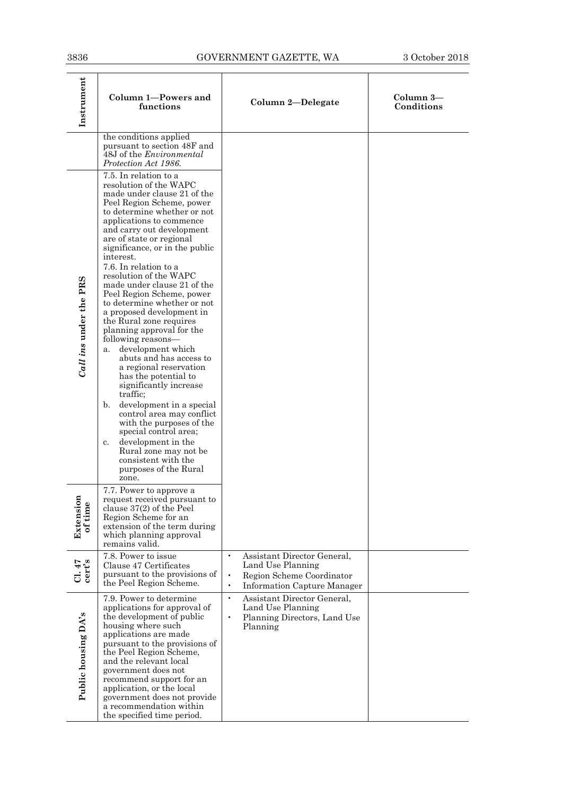| 3836                   |                                                                                                                                                                                                                                                                                                                                                                                                                                                                                                                                                                                                                                                                                                                                                                                                                                                                                                                                     | GOVERNMENT GAZETTE, WA                                                                                                                                     | 3 October 2018          |
|------------------------|-------------------------------------------------------------------------------------------------------------------------------------------------------------------------------------------------------------------------------------------------------------------------------------------------------------------------------------------------------------------------------------------------------------------------------------------------------------------------------------------------------------------------------------------------------------------------------------------------------------------------------------------------------------------------------------------------------------------------------------------------------------------------------------------------------------------------------------------------------------------------------------------------------------------------------------|------------------------------------------------------------------------------------------------------------------------------------------------------------|-------------------------|
| Instrument             | Column 1-Powers and<br>functions                                                                                                                                                                                                                                                                                                                                                                                                                                                                                                                                                                                                                                                                                                                                                                                                                                                                                                    | Column 2-Delegate                                                                                                                                          | Column 3-<br>Conditions |
|                        | the conditions applied<br>pursuant to section 48F and<br>48J of the <i>Environmental</i><br>Protection Act 1986.                                                                                                                                                                                                                                                                                                                                                                                                                                                                                                                                                                                                                                                                                                                                                                                                                    |                                                                                                                                                            |                         |
| Call ins under the PRS | 7.5. In relation to a<br>resolution of the WAPC<br>made under clause 21 of the<br>Peel Region Scheme, power<br>to determine whether or not<br>applications to commence<br>and carry out development<br>are of state or regional<br>significance, or in the public<br>interest.<br>7.6. In relation to a<br>resolution of the WAPC<br>made under clause 21 of the<br>Peel Region Scheme, power<br>to determine whether or not<br>a proposed development in<br>the Rural zone requires<br>planning approval for the<br>following reasons—<br>development which<br>a.<br>abuts and has access to<br>a regional reservation<br>has the potential to<br>significantly increase<br>traffic;<br>development in a special<br>$\mathbf{b}$ .<br>control area may conflict<br>with the purposes of the<br>special control area;<br>development in the<br>c.<br>Rural zone may not be<br>consistent with the<br>purposes of the Rural<br>zone. |                                                                                                                                                            |                         |
| Extension<br>of time   | 7.7. Power to approve a<br>request received pursuant to<br>clause $37(2)$ of the Peel<br>Region Scheme for an<br>extension of the term during<br>which planning approval<br>remains valid.                                                                                                                                                                                                                                                                                                                                                                                                                                                                                                                                                                                                                                                                                                                                          |                                                                                                                                                            |                         |
| $C1.47$<br>cert's      | 7.8. Power to issue<br>Clause 47 Certificates<br>pursuant to the provisions of<br>the Peel Region Scheme.                                                                                                                                                                                                                                                                                                                                                                                                                                                                                                                                                                                                                                                                                                                                                                                                                           | Assistant Director General,<br>$\bullet$<br>Land Use Planning<br>Region Scheme Coordinator<br>$\bullet$<br>$\bullet$<br><b>Information Capture Manager</b> |                         |
| Public housing DA's    | 7.9. Power to determine<br>applications for approval of<br>the development of public<br>housing where such<br>applications are made<br>pursuant to the provisions of<br>the Peel Region Scheme,<br>and the relevant local<br>government does not<br>recommend support for an<br>application, or the local<br>government does not provide<br>a recommendation within<br>the specified time period.                                                                                                                                                                                                                                                                                                                                                                                                                                                                                                                                   | $\bullet$<br>Assistant Director General,<br>Land Use Planning<br>Planning Directors, Land Use<br>$\bullet$<br>Planning                                     |                         |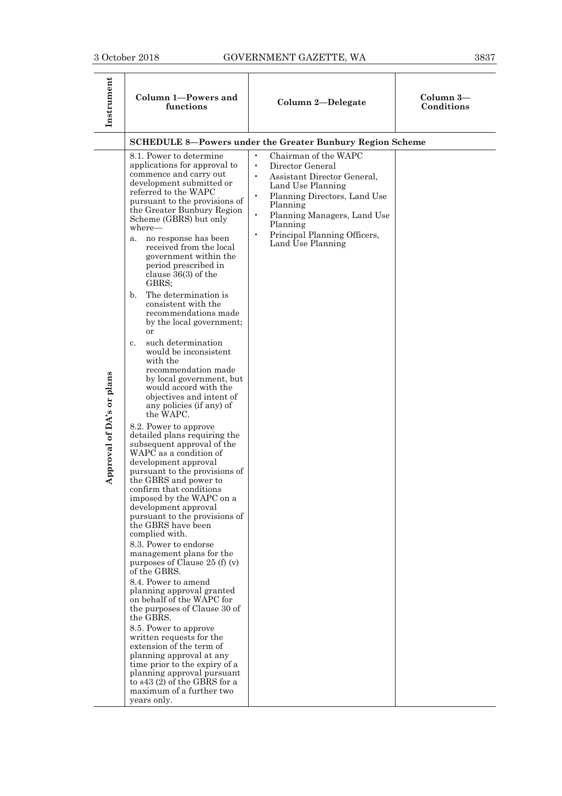÷,

| Instrument                | Column 1-Powers and<br>functions                                                                                                                                                                                                                                                                                                                                                                                                                                                                                                                                                                                                                                                                                                                                                                                                                                                                                                                                                                                                                                                                                                                                                                                                                                                                                                                                                                                                                                                                                                                                         | Column 2-Delegate                                                                                                                                                                                                                                                                                         | Column 3-<br>Conditions |
|---------------------------|--------------------------------------------------------------------------------------------------------------------------------------------------------------------------------------------------------------------------------------------------------------------------------------------------------------------------------------------------------------------------------------------------------------------------------------------------------------------------------------------------------------------------------------------------------------------------------------------------------------------------------------------------------------------------------------------------------------------------------------------------------------------------------------------------------------------------------------------------------------------------------------------------------------------------------------------------------------------------------------------------------------------------------------------------------------------------------------------------------------------------------------------------------------------------------------------------------------------------------------------------------------------------------------------------------------------------------------------------------------------------------------------------------------------------------------------------------------------------------------------------------------------------------------------------------------------------|-----------------------------------------------------------------------------------------------------------------------------------------------------------------------------------------------------------------------------------------------------------------------------------------------------------|-------------------------|
|                           |                                                                                                                                                                                                                                                                                                                                                                                                                                                                                                                                                                                                                                                                                                                                                                                                                                                                                                                                                                                                                                                                                                                                                                                                                                                                                                                                                                                                                                                                                                                                                                          | <b>SCHEDULE 8-Powers under the Greater Bunbury Region Scheme</b>                                                                                                                                                                                                                                          |                         |
| Approval of DA's or plans | 8.1. Power to determine<br>applications for approval to<br>commence and carry out<br>development submitted or<br>referred to the WAPC<br>pursuant to the provisions of<br>the Greater Bunbury Region<br>Scheme (GBRS) but only<br>where—<br>no response has been<br>a.<br>received from the local<br>government within the<br>period prescribed in<br>clause $36(3)$ of the<br>GBRS;<br>The determination is<br>$\mathbf{b}$ .<br>consistent with the<br>recommendations made<br>by the local government;<br>or<br>such determination<br>c.<br>would be inconsistent<br>with the<br>recommendation made<br>by local government, but<br>would accord with the<br>objectives and intent of<br>any policies (if any) of<br>the WAPC.<br>8.2. Power to approve<br>detailed plans requiring the<br>subsequent approval of the<br>WAPC as a condition of<br>development approval<br>pursuant to the provisions of<br>the GBRS and power to<br>confirm that conditions<br>imposed by the WAPC on a<br>development approval<br>pursuant to the provisions of<br>the GBRS have been<br>complied with.<br>8.3. Power to endorse<br>management plans for the<br>purposes of Clause 25 (f) (v)<br>of the GBRS.<br>8.4. Power to amend<br>planning approval granted<br>on behalf of the WAPC for<br>the purposes of Clause 30 of<br>the GBRS.<br>8.5. Power to approve<br>written requests for the<br>extension of the term of<br>planning approval at any<br>time prior to the expiry of a<br>planning approval pursuant<br>to s43 (2) of the GBRS for a<br>maximum of a further two | Chairman of the WAPC<br>$\bullet$<br>Director General<br>$\bullet$<br>Assistant Director General,<br>Land Use Planning<br>Planning Directors, Land Use<br>$\bullet$<br>Planning<br>Planning Managers, Land Use<br>$\bullet$<br>Planning<br>Principal Planning Officers,<br>$\bullet$<br>Land Use Planning |                         |
|                           | years only.                                                                                                                                                                                                                                                                                                                                                                                                                                                                                                                                                                                                                                                                                                                                                                                                                                                                                                                                                                                                                                                                                                                                                                                                                                                                                                                                                                                                                                                                                                                                                              |                                                                                                                                                                                                                                                                                                           |                         |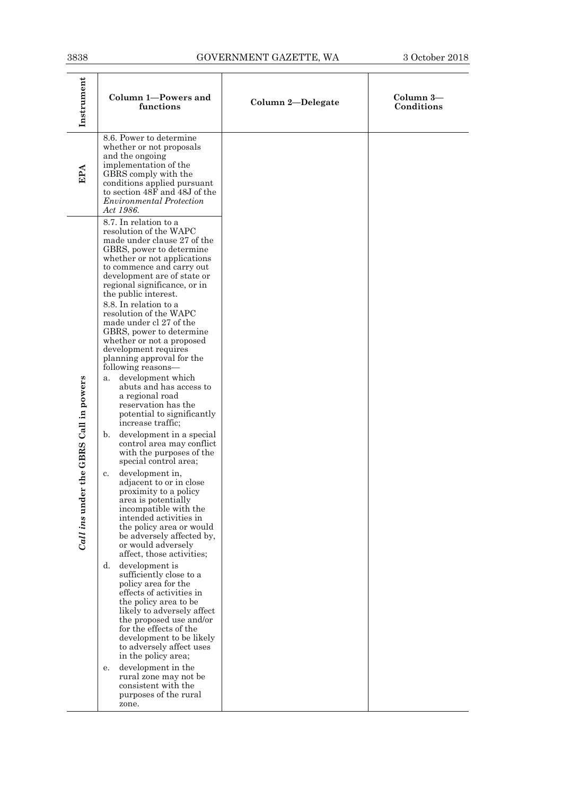| 3838                                      |                                                                                                                                                                                                                                                                                                                                                                                                                                                                                                                                                                                                                                                                                                                                                                                                                                                                                                                                                                                                                                                                                                                                                                                                                                                                                                                                                                                                                                          | GOVERNMENT GAZETTE, WA | 3 October 2018          |
|-------------------------------------------|------------------------------------------------------------------------------------------------------------------------------------------------------------------------------------------------------------------------------------------------------------------------------------------------------------------------------------------------------------------------------------------------------------------------------------------------------------------------------------------------------------------------------------------------------------------------------------------------------------------------------------------------------------------------------------------------------------------------------------------------------------------------------------------------------------------------------------------------------------------------------------------------------------------------------------------------------------------------------------------------------------------------------------------------------------------------------------------------------------------------------------------------------------------------------------------------------------------------------------------------------------------------------------------------------------------------------------------------------------------------------------------------------------------------------------------|------------------------|-------------------------|
| Instrument                                | Column 1-Powers and<br>functions                                                                                                                                                                                                                                                                                                                                                                                                                                                                                                                                                                                                                                                                                                                                                                                                                                                                                                                                                                                                                                                                                                                                                                                                                                                                                                                                                                                                         | Column 2-Delegate      | Column 3-<br>Conditions |
| EPA                                       | 8.6. Power to determine<br>whether or not proposals<br>and the ongoing<br>implementation of the<br>GBRS comply with the<br>conditions applied pursuant<br>to section 48F and 48J of the<br><i>Environmental Protection</i><br>Act 1986.                                                                                                                                                                                                                                                                                                                                                                                                                                                                                                                                                                                                                                                                                                                                                                                                                                                                                                                                                                                                                                                                                                                                                                                                  |                        |                         |
| GBRS Call in powers<br>Call ins under the | 8.7. In relation to a<br>resolution of the WAPC<br>made under clause 27 of the<br>GBRS, power to determine<br>whether or not applications<br>to commence and carry out<br>development are of state or<br>regional significance, or in<br>the public interest.<br>8.8. In relation to a<br>resolution of the WAPC<br>made under cl 27 of the<br>GBRS, power to determine<br>whether or not a proposed<br>development requires<br>planning approval for the<br>following reasons—<br>development which<br>a.<br>abuts and has access to<br>a regional road<br>reservation has the<br>potential to significantly<br>increase traffic;<br>development in a special<br>b.<br>control area may conflict<br>with the purposes of the<br>special control area;<br>development in,<br>c.<br>adjacent to or in close<br>proximity to a policy<br>area is potentially<br>incompatible with the<br>intended activities in<br>the policy area or would<br>be adversely affected by,<br>or would adversely<br>affect, those activities;<br>development is<br>d.<br>sufficiently close to a<br>policy area for the<br>effects of activities in<br>the policy area to be<br>likely to adversely affect<br>the proposed use and/or<br>for the effects of the<br>development to be likely<br>to adversely affect uses<br>in the policy area;<br>development in the<br>е.<br>rural zone may not be<br>consistent with the<br>purposes of the rural<br>zone. |                        |                         |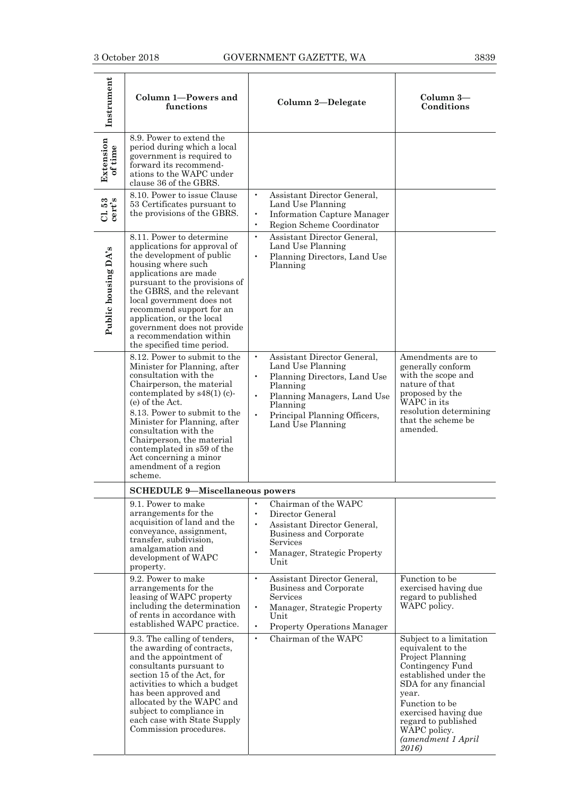| Instrument           | Column 1-Powers and<br>functions                                                                                                                                                                                                                                                                                                                                                         | Column 2-Delegate                                                                                                                                                                                                                                | Column 3-<br>Conditions                                                                                                                                                                                                                                                  |
|----------------------|------------------------------------------------------------------------------------------------------------------------------------------------------------------------------------------------------------------------------------------------------------------------------------------------------------------------------------------------------------------------------------------|--------------------------------------------------------------------------------------------------------------------------------------------------------------------------------------------------------------------------------------------------|--------------------------------------------------------------------------------------------------------------------------------------------------------------------------------------------------------------------------------------------------------------------------|
| Extension<br>of time | 8.9. Power to extend the<br>period during which a local<br>government is required to<br>forward its recommend-<br>ations to the WAPC under<br>clause 36 of the GBRS.                                                                                                                                                                                                                     |                                                                                                                                                                                                                                                  |                                                                                                                                                                                                                                                                          |
| $CL$ 53<br>cert's    | 8.10. Power to issue Clause<br>53 Certificates pursuant to<br>the provisions of the GBRS.                                                                                                                                                                                                                                                                                                | Assistant Director General,<br>$\bullet$<br>Land Use Planning<br>$\bullet$<br><b>Information Capture Manager</b><br>Region Scheme Coordinator<br>$\bullet$                                                                                       |                                                                                                                                                                                                                                                                          |
| Public housing DA's  | 8.11. Power to determine<br>applications for approval of<br>the development of public<br>housing where such<br>applications are made<br>pursuant to the provisions of<br>the GBRS, and the relevant<br>local government does not<br>recommend support for an<br>application, or the local<br>government does not provide<br>a recommendation within<br>the specified time period.        | $\bullet$<br>Assistant Director General,<br>Land Use Planning<br>Planning Directors, Land Use<br>$\bullet$<br>Planning                                                                                                                           |                                                                                                                                                                                                                                                                          |
|                      | 8.12. Power to submit to the<br>Minister for Planning, after<br>consultation with the<br>Chairperson, the material<br>contemplated by $s48(1)$ (c)-<br>(e) of the Act.<br>8.13. Power to submit to the<br>Minister for Planning, after<br>consultation with the<br>Chairperson, the material<br>contemplated in s59 of the<br>Act concerning a minor<br>amendment of a region<br>scheme. | $\bullet$<br>Assistant Director General,<br>Land Use Planning<br>Planning Directors, Land Use<br>$\bullet$<br>Planning<br>$\bullet$<br>Planning Managers, Land Use<br>Planning<br>$\bullet$<br>Principal Planning Officers,<br>Land Use Planning | Amendments are to<br>generally conform<br>with the scope and<br>nature of that<br>proposed by the<br>WAPC in its<br>resolution determining<br>that the scheme be<br>amended.                                                                                             |
|                      | <b>SCHEDULE 9-Miscellaneous powers</b>                                                                                                                                                                                                                                                                                                                                                   |                                                                                                                                                                                                                                                  |                                                                                                                                                                                                                                                                          |
|                      | 9.1. Power to make<br>arrangements for the<br>acquisition of land and the<br>conveyance, assignment,<br>transfer, subdivision,<br>amalgamation and<br>development of WAPC<br>property.                                                                                                                                                                                                   | Chairman of the WAPC<br>$\bullet$<br>Director General<br>$\bullet$<br>Assistant Director General,<br>$\bullet$<br>Business and Corporate<br><b>Services</b><br>$\bullet$<br>Manager, Strategic Property<br>Unit                                  |                                                                                                                                                                                                                                                                          |
|                      | 9.2. Power to make<br>arrangements for the<br>leasing of WAPC property<br>including the determination<br>of rents in accordance with<br>established WAPC practice.                                                                                                                                                                                                                       | $\bullet$<br>Assistant Director General,<br>Business and Corporate<br>Services<br>$\bullet$<br>Manager, Strategic Property<br>Unit<br>$\bullet$<br><b>Property Operations Manager</b>                                                            | Function to be<br>exercised having due<br>regard to published<br>WAPC policy.                                                                                                                                                                                            |
|                      | 9.3. The calling of tenders,<br>the awarding of contracts,<br>and the appointment of<br>consultants pursuant to<br>section 15 of the Act, for<br>activities to which a budget<br>has been approved and<br>allocated by the WAPC and<br>subject to compliance in<br>each case with State Supply<br>Commission procedures.                                                                 | Chairman of the WAPC<br>$\bullet$                                                                                                                                                                                                                | Subject to a limitation<br>equivalent to the<br>Project Planning<br>Contingency Fund<br>established under the<br>SDA for any financial<br>year.<br>Function to be<br>exercised having due<br>regard to published<br>WAPC policy.<br>(amendment 1 April)<br><i>2016</i> ) |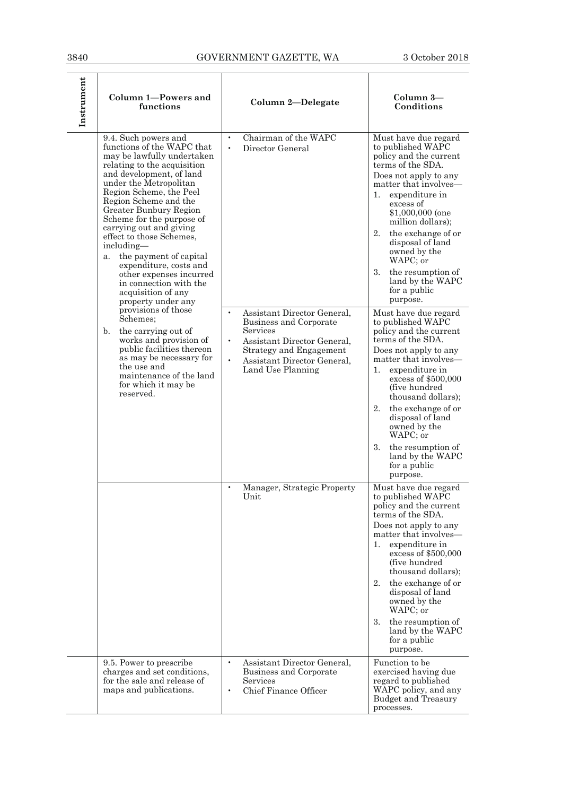| Instrument | Column 1-Powers and<br>functions                                                                                                                                                                                                                                                                                                                                                                                                                                                                                                                                                                                                                                                                                                                             | Column 2-Delegate                                                                                                                                                                                                                                                               | Column 3-<br>Conditions                                                                                                                                                                                                                                                                                                                                                                                                                                                                                                                                                                                                                                                                                                                                                  |
|------------|--------------------------------------------------------------------------------------------------------------------------------------------------------------------------------------------------------------------------------------------------------------------------------------------------------------------------------------------------------------------------------------------------------------------------------------------------------------------------------------------------------------------------------------------------------------------------------------------------------------------------------------------------------------------------------------------------------------------------------------------------------------|---------------------------------------------------------------------------------------------------------------------------------------------------------------------------------------------------------------------------------------------------------------------------------|--------------------------------------------------------------------------------------------------------------------------------------------------------------------------------------------------------------------------------------------------------------------------------------------------------------------------------------------------------------------------------------------------------------------------------------------------------------------------------------------------------------------------------------------------------------------------------------------------------------------------------------------------------------------------------------------------------------------------------------------------------------------------|
|            | 9.4. Such powers and<br>functions of the WAPC that<br>may be lawfully undertaken<br>relating to the acquisition<br>and development, of land<br>under the Metropolitan<br>Region Scheme, the Peel<br>Region Scheme and the<br>Greater Bunbury Region<br>Scheme for the purpose of<br>carrying out and giving<br>effect to those Schemes,<br>including-<br>the payment of capital<br>a.<br>expenditure, costs and<br>other expenses incurred<br>in connection with the<br>acquisition of any<br>property under any<br>provisions of those<br>Schemes;<br>the carrying out of<br>$\mathbf{b}$ .<br>works and provision of<br>public facilities thereon<br>as may be necessary for<br>the use and<br>maintenance of the land<br>for which it may be<br>reserved. | Chairman of the WAPC<br>$\bullet$<br>$\bullet$<br>Director General<br>Assistant Director General,<br>Business and Corporate<br>Services<br>$\bullet$<br>Assistant Director General,<br>Strategy and Engagement<br>$\bullet$<br>Assistant Director General,<br>Land Use Planning | Must have due regard<br>to published WAPC<br>policy and the current<br>terms of the SDA.<br>Does not apply to any<br>matter that involves—<br>1. expenditure in<br>excess of<br>\$1,000,000 (one<br>million dollars);<br>2.<br>the exchange of or<br>disposal of land<br>owned by the<br>WAPC; or<br>3.<br>the resumption of<br>land by the WAPC<br>for a public<br>purpose.<br>Must have due regard<br>to published WAPC<br>policy and the current<br>terms of the SDA.<br>Does not apply to any<br>matter that involves—<br>1.<br>expenditure in<br>excess of \$500,000<br>(five hundred)<br>thousand dollars);<br>2.<br>the exchange of or<br>disposal of land<br>owned by the<br>WAPC; or<br>the resumption of<br>3.<br>land by the WAPC<br>for a public<br>purpose. |
|            |                                                                                                                                                                                                                                                                                                                                                                                                                                                                                                                                                                                                                                                                                                                                                              | Manager, Strategic Property<br>$\bullet$<br>Unit                                                                                                                                                                                                                                | Must have due regard<br>to published WAPC<br>policy and the current<br>terms of the SDA.<br>Does not apply to any<br>matter that involves—<br>1.<br>expenditure in<br>excess of $$500,000$<br>(five hundred)<br>thousand dollars);<br>2.<br>the exchange of or<br>disposal of land<br>owned by the<br>WAPC; or<br>3.<br>the resumption of<br>land by the WAPC<br>for a public<br>purpose.                                                                                                                                                                                                                                                                                                                                                                                |
|            | 9.5. Power to prescribe<br>charges and set conditions,<br>for the sale and release of<br>maps and publications.                                                                                                                                                                                                                                                                                                                                                                                                                                                                                                                                                                                                                                              | $\bullet$<br>Assistant Director General,<br>Business and Corporate<br>Services<br>Chief Finance Officer<br>$\bullet$                                                                                                                                                            | Function to be<br>exercised having due<br>regard to published<br>WAPC policy, and any<br>Budget and Treasury<br>processes.                                                                                                                                                                                                                                                                                                                                                                                                                                                                                                                                                                                                                                               |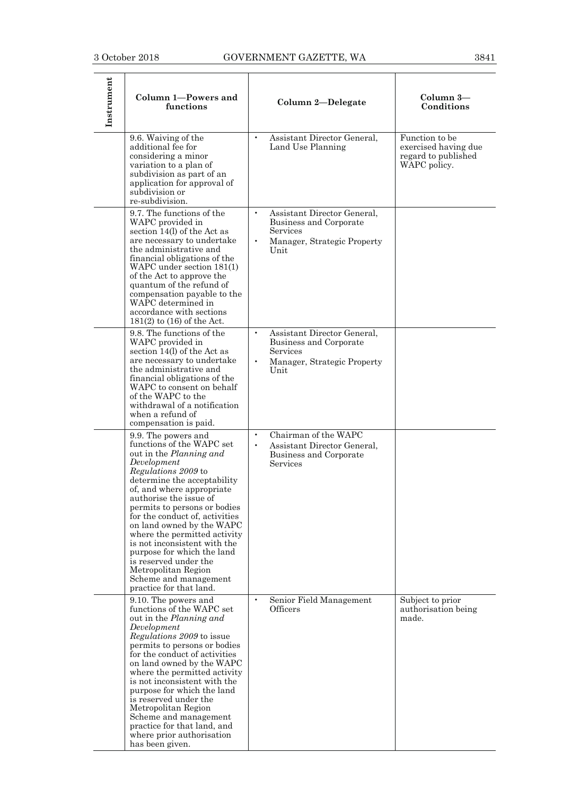| Instrument | Column 1-Powers and<br>functions                                                                                                                                                                                                                                                                                                                                                                                                                                                                         | Column 2-Delegate                                                                                                                  | Column 3-<br>Conditions                                                       |
|------------|----------------------------------------------------------------------------------------------------------------------------------------------------------------------------------------------------------------------------------------------------------------------------------------------------------------------------------------------------------------------------------------------------------------------------------------------------------------------------------------------------------|------------------------------------------------------------------------------------------------------------------------------------|-------------------------------------------------------------------------------|
|            | 9.6. Waiving of the<br>additional fee for<br>considering a minor<br>variation to a plan of<br>subdivision as part of an<br>application for approval of<br>subdivision or<br>re-subdivision.                                                                                                                                                                                                                                                                                                              | Assistant Director General,<br>$\bullet$<br>Land Use Planning                                                                      | Function to be<br>exercised having due<br>regard to published<br>WAPC policy. |
|            | 9.7. The functions of the<br>WAPC provided in<br>section 14(l) of the Act as<br>are necessary to undertake<br>the administrative and<br>financial obligations of the<br>WAPC under section 181(1)<br>of the Act to approve the<br>quantum of the refund of<br>compensation payable to the<br>WAPC determined in<br>accordance with sections<br>$181(2)$ to $(16)$ of the Act.                                                                                                                            | Assistant Director General,<br>$\bullet$<br>Business and Corporate<br>Services<br>Manager, Strategic Property<br>Unit              |                                                                               |
|            | 9.8. The functions of the<br>WAPC provided in<br>section 14(l) of the Act as<br>are necessary to undertake<br>the administrative and<br>financial obligations of the<br>WAPC to consent on behalf<br>of the WAPC to the<br>withdrawal of a notification<br>when a refund of<br>compensation is paid.                                                                                                                                                                                                     | Assistant Director General,<br>$\bullet$<br>Business and Corporate<br>Services<br>$\bullet$<br>Manager, Strategic Property<br>Unit |                                                                               |
|            | 9.9. The powers and<br>functions of the WAPC set<br>out in the Planning and<br>Development<br>Regulations 2009 to<br>determine the acceptability<br>of, and where appropriate<br>authorise the issue of<br>permits to persons or bodies<br>for the conduct of, activities<br>on land owned by the WAPC<br>where the permitted activity<br>is not inconsistent with the<br>purpose for which the land<br>is reserved under the<br>Metropolitan Region<br>Scheme and management<br>practice for that land. | Chairman of the WAPC<br>$\bullet$<br>Assistant Director General,<br>$\bullet$<br>Business and Corporate<br>Services                |                                                                               |
|            | 9.10. The powers and<br>functions of the WAPC set<br>out in the <i>Planning and</i><br>Development<br>Regulations 2009 to issue<br>permits to persons or bodies<br>for the conduct of activities<br>on land owned by the WAPC<br>where the permitted activity<br>is not inconsistent with the<br>purpose for which the land<br>is reserved under the<br>Metropolitan Region<br>Scheme and management<br>practice for that land, and<br>where prior authorisation<br>has been given.                      | $\bullet$<br>Senior Field Management<br>Officers                                                                                   | Subject to prior<br>authorisation being<br>made.                              |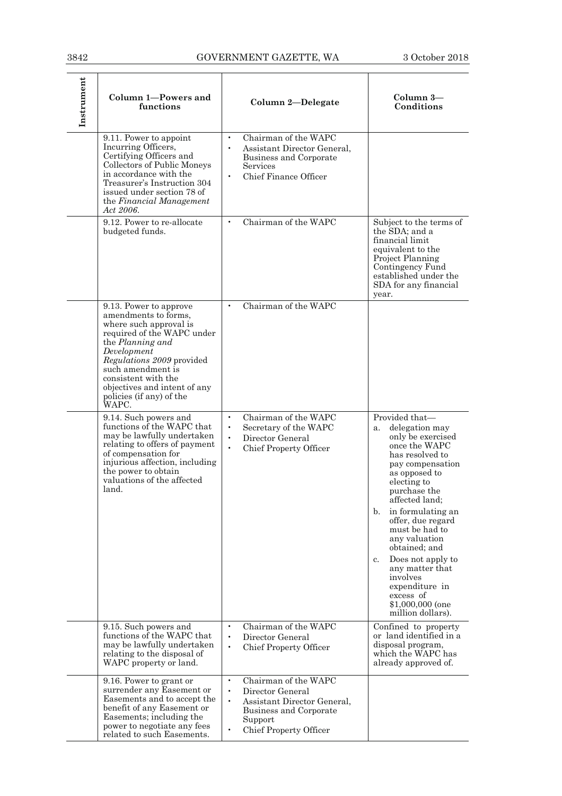| Instrument | Column 1-Powers and<br>functions                                                                                                                                                                                                                                                               | Column 2-Delegate                                                                                                                                                                    | Column 3-<br>Conditions                                                                                                                                                                                                                                                                                                                                                                                                               |
|------------|------------------------------------------------------------------------------------------------------------------------------------------------------------------------------------------------------------------------------------------------------------------------------------------------|--------------------------------------------------------------------------------------------------------------------------------------------------------------------------------------|---------------------------------------------------------------------------------------------------------------------------------------------------------------------------------------------------------------------------------------------------------------------------------------------------------------------------------------------------------------------------------------------------------------------------------------|
|            | 9.11. Power to appoint<br>Incurring Officers,<br>Certifying Officers and<br>Collectors of Public Moneys<br>in accordance with the<br>Treasurer's Instruction 304<br>issued under section 78 of<br>the Financial Management<br>Act 2006.                                                        | Chairman of the WAPC<br>$\bullet$<br>Assistant Director General,<br>Business and Corporate<br>Services<br>Chief Finance Officer<br>$\bullet$                                         |                                                                                                                                                                                                                                                                                                                                                                                                                                       |
|            | 9.12. Power to re-allocate<br>budgeted funds.                                                                                                                                                                                                                                                  | Chairman of the WAPC<br>$\bullet$                                                                                                                                                    | Subject to the terms of<br>the SDA; and a<br>financial limit<br>equivalent to the<br>Project Planning<br>Contingency Fund<br>established under the<br>SDA for any financial<br>year.                                                                                                                                                                                                                                                  |
|            | 9.13. Power to approve<br>amendments to forms,<br>where such approval is<br>required of the WAPC under<br>the Planning and<br>Development<br><i>Regulations 2009</i> provided<br>such amendment is<br>consistent with the<br>objectives and intent of any<br>policies (if any) of the<br>WAPC. | Chairman of the WAPC<br>$\bullet$                                                                                                                                                    |                                                                                                                                                                                                                                                                                                                                                                                                                                       |
|            | 9.14. Such powers and<br>functions of the WAPC that<br>may be lawfully undertaken<br>relating to offers of payment<br>of compensation for<br>injurious affection, including<br>the power to obtain<br>valuations of the affected<br>land.                                                      | Chairman of the WAPC<br>$\bullet$<br>$\bullet$<br>Secretary of the WAPC<br>$\bullet$<br>Director General<br>$\bullet$<br>Chief Property Officer                                      | Provided that-<br>delegation may<br>a.<br>only be exercised<br>once the WAPC<br>has resolved to<br>pay compensation<br>as opposed to<br>electing to<br>purchase the<br>affected land;<br>b.<br>in formulating an<br>offer, due regard<br>must be had to<br>any valuation<br>obtained: and<br>Does not apply to<br>$c_{\cdot}$<br>any matter that<br>involves<br>expenditure in<br>excess of<br>$$1,000,000$ (one<br>million dollars). |
|            | 9.15. Such powers and<br>functions of the WAPC that<br>may be lawfully undertaken<br>relating to the disposal of<br>WAPC property or land.                                                                                                                                                     | Chairman of the WAPC<br>$\bullet$<br>Director General<br>$\bullet$<br>$\bullet$<br>Chief Property Officer                                                                            | Confined to property<br>or land identified in a<br>disposal program,<br>which the WAPC has<br>already approved of.                                                                                                                                                                                                                                                                                                                    |
|            | 9.16. Power to grant or<br>surrender any Easement or<br>Easements and to accept the<br>benefit of any Easement or<br>Easements; including the<br>power to negotiate any fees<br>related to such Easements.                                                                                     | Chairman of the WAPC<br>$\bullet$<br>Director General<br>$\bullet$<br>$\bullet$<br>Assistant Director General,<br>Business and Corporate<br>Support<br><b>Chief Property Officer</b> |                                                                                                                                                                                                                                                                                                                                                                                                                                       |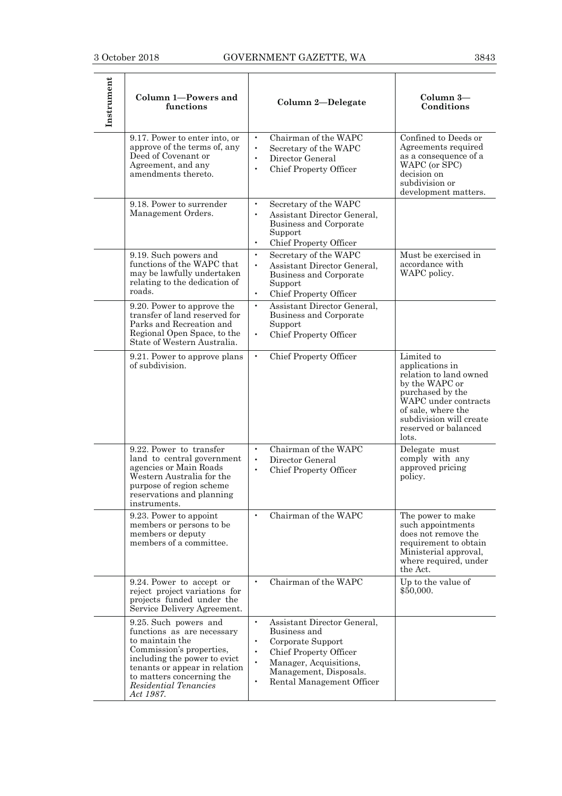| Instrument | Column 1-Powers and<br>functions                                                                                                                                                                                                       | Column 2-Delegate                                                                                                                                                                                                                            | Column 3-<br>Conditions                                                                                                                                                                                 |
|------------|----------------------------------------------------------------------------------------------------------------------------------------------------------------------------------------------------------------------------------------|----------------------------------------------------------------------------------------------------------------------------------------------------------------------------------------------------------------------------------------------|---------------------------------------------------------------------------------------------------------------------------------------------------------------------------------------------------------|
|            | 9.17. Power to enter into, or<br>approve of the terms of, any<br>Deed of Covenant or<br>Agreement, and any<br>amendments thereto.                                                                                                      | Chairman of the WAPC<br>$\bullet$<br>Secretary of the WAPC<br>$\bullet$<br>Director General<br>$\bullet$<br>Chief Property Officer<br>$\bullet$                                                                                              | Confined to Deeds or<br>Agreements required<br>as a consequence of a<br>WAPC (or SPC)<br>decision on<br>subdivision or<br>development matters.                                                          |
|            | 9.18. Power to surrender<br>Management Orders.                                                                                                                                                                                         | Secretary of the WAPC<br>$\bullet$<br>Assistant Director General,<br>$\bullet$<br>Business and Corporate<br>Support<br>$\bullet$<br>Chief Property Officer                                                                                   |                                                                                                                                                                                                         |
|            | 9.19. Such powers and<br>functions of the WAPC that<br>may be lawfully undertaken<br>relating to the dedication of<br>roads.                                                                                                           | $\bullet$<br>Secretary of the WAPC<br>$\bullet$<br>Assistant Director General,<br>Business and Corporate<br>Support<br>Chief Property Officer                                                                                                | Must be exercised in<br>accordance with<br>WAPC policy.                                                                                                                                                 |
|            | 9.20. Power to approve the<br>transfer of land reserved for<br>Parks and Recreation and<br>Regional Open Space, to the<br>State of Western Australia.                                                                                  | $\bullet$<br>Assistant Director General,<br>Business and Corporate<br>Support<br><b>Chief Property Officer</b><br>$\bullet$                                                                                                                  |                                                                                                                                                                                                         |
|            | 9.21. Power to approve plans<br>of subdivision.                                                                                                                                                                                        | $\bullet$<br><b>Chief Property Officer</b>                                                                                                                                                                                                   | Limited to<br>applications in<br>relation to land owned<br>by the WAPC or<br>purchased by the<br>WAPC under contracts<br>of sale, where the<br>subdivision will create<br>reserved or balanced<br>lots. |
|            | 9.22. Power to transfer<br>land to central government<br>agencies or Main Roads<br>Western Australia for the<br>purpose of region scheme<br>reservations and planning<br>instruments.                                                  | Chairman of the WAPC<br>$\bullet$<br>Director General<br>$\bullet$<br>$\bullet$<br><b>Chief Property Officer</b>                                                                                                                             | Delegate must<br>comply with any<br>approved pricing<br>policy.                                                                                                                                         |
|            | 9.23. Power to appoint<br>members or persons to be<br>members or deputy<br>members of a committee.                                                                                                                                     | Chairman of the WAPC<br>$\bullet$                                                                                                                                                                                                            | The power to make<br>such appointments<br>does not remove the<br>requirement to obtain<br>Ministerial approval,<br>where required, under<br>the Act.                                                    |
|            | 9.24. Power to accept or<br>reject project variations for<br>projects funded under the<br>Service Delivery Agreement.                                                                                                                  | Chairman of the WAPC<br>$\bullet$                                                                                                                                                                                                            | Up to the value of<br>\$50,000.                                                                                                                                                                         |
|            | 9.25. Such powers and<br>functions as are necessary<br>to maintain the<br>Commission's properties,<br>including the power to evict<br>tenants or appear in relation<br>to matters concerning the<br>Residential Tenancies<br>Act 1987. | $\bullet$<br>Assistant Director General,<br>Business and<br>Corporate Support<br>$\bullet$<br>Chief Property Officer<br>$\bullet$<br>$\bullet$<br>Manager, Acquisitions,<br>Management, Disposals.<br>Rental Management Officer<br>$\bullet$ |                                                                                                                                                                                                         |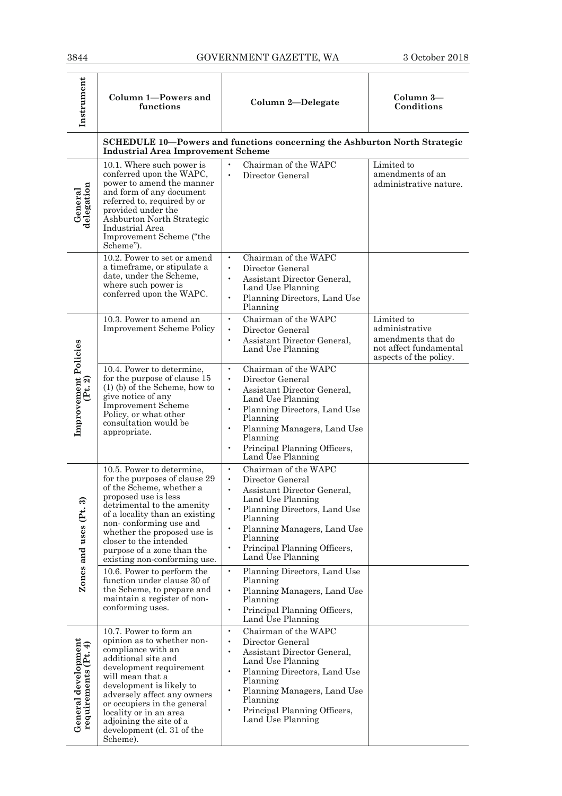| 3844                                            |                                                                                                                                                                                                                                                                                                                                                                                                                                                                               | GOVERNMENT GAZETTE, WA                                                                                                                                                                                                                                                                                                                                                                                                                                                               | 3 October 2018                                                                                         |
|-------------------------------------------------|-------------------------------------------------------------------------------------------------------------------------------------------------------------------------------------------------------------------------------------------------------------------------------------------------------------------------------------------------------------------------------------------------------------------------------------------------------------------------------|--------------------------------------------------------------------------------------------------------------------------------------------------------------------------------------------------------------------------------------------------------------------------------------------------------------------------------------------------------------------------------------------------------------------------------------------------------------------------------------|--------------------------------------------------------------------------------------------------------|
| Instrument                                      | Column 1-Powers and<br>functions                                                                                                                                                                                                                                                                                                                                                                                                                                              | Column 2-Delegate                                                                                                                                                                                                                                                                                                                                                                                                                                                                    | Column 3-<br>Conditions                                                                                |
|                                                 | <b>Industrial Area Improvement Scheme</b>                                                                                                                                                                                                                                                                                                                                                                                                                                     | SCHEDULE 10-Powers and functions concerning the Ashburton North Strategic                                                                                                                                                                                                                                                                                                                                                                                                            |                                                                                                        |
| delegation<br>General                           | 10.1. Where such power is<br>conferred upon the WAPC,<br>power to amend the manner<br>and form of any document<br>referred to, required by or<br>provided under the<br>Ashburton North Strategic<br>Industrial Area<br>Improvement Scheme ("the<br>Scheme").                                                                                                                                                                                                                  | Chairman of the WAPC<br>$\bullet$<br>$\bullet$<br>Director General                                                                                                                                                                                                                                                                                                                                                                                                                   | Limited to<br>amendments of an<br>administrative nature.                                               |
|                                                 | 10.2. Power to set or amend<br>a timeframe, or stipulate a<br>date, under the Scheme,<br>where such power is<br>conferred upon the WAPC.                                                                                                                                                                                                                                                                                                                                      | Chairman of the WAPC<br>$\bullet$<br>Director General<br>$\bullet$<br>Assistant Director General,<br>$\bullet$<br>Land Use Planning<br>Planning Directors, Land Use<br>$\bullet$<br>Planning                                                                                                                                                                                                                                                                                         |                                                                                                        |
|                                                 | 10.3. Power to amend an<br><b>Improvement Scheme Policy</b>                                                                                                                                                                                                                                                                                                                                                                                                                   | Chairman of the WAPC<br>$\bullet$<br>$\bullet$<br>Director General<br>Assistant Director General,<br>$\bullet$<br>Land Use Planning                                                                                                                                                                                                                                                                                                                                                  | Limited to<br>administrative<br>amendments that do<br>not affect fundamental<br>aspects of the policy. |
| <b>Improvement Policies</b><br>(Pt. 2)          | 10.4. Power to determine,<br>for the purpose of clause 15<br>$(1)$ (b) of the Scheme, how to<br>give notice of any<br><b>Improvement Scheme</b><br>Policy, or what other<br>consultation would be<br>appropriate.                                                                                                                                                                                                                                                             | Chairman of the WAPC<br>$\bullet$<br>Director General<br>$\bullet$<br>Assistant Director General,<br>$\bullet$<br>Land Use Planning<br>Planning Directors, Land Use<br>$\bullet$<br>Planning<br>Planning Managers, Land Use<br>$\bullet$<br>Planning<br>Principal Planning Officers,<br>$\bullet$<br>Land Use Planning                                                                                                                                                               |                                                                                                        |
| Zones and uses (Pt. 3)                          | 10.5. Power to determine,<br>for the purposes of clause 29<br>of the Scheme, whether a<br>proposed use is less<br>detrimental to the amenity<br>of a locality than an existing<br>non-conforming use and<br>whether the proposed use is<br>closer to the intended<br>purpose of a zone than the<br>existing non-conforming use.<br>10.6. Power to perform the<br>function under clause 30 of<br>the Scheme, to prepare and<br>maintain a register of non-<br>conforming uses. | Chairman of the WAPC<br>$\bullet$<br>Director General<br>$\bullet$<br>Assistant Director General,<br>$\bullet$<br>Land Use Planning<br>$\bullet$<br>Planning Directors, Land Use<br>Planning<br>Planning Managers, Land Use<br>$\bullet$<br>Planning<br>Principal Planning Officers,<br>$\bullet$<br>Land Use Planning<br>$\bullet$<br>Planning Directors, Land Use<br>Planning<br>Planning Managers, Land Use<br>$\bullet$<br>Planning<br>Principal Planning Officers,<br>$\bullet$ |                                                                                                        |
| $General development$<br>requirements $(Pt, 4)$ | 10.7. Power to form an<br>opinion as to whether non-<br>compliance with an<br>additional site and<br>development requirement<br>will mean that a<br>development is likely to<br>adversely affect any owners<br>or occupiers in the general<br>locality or in an area<br>adjoining the site of a<br>development (cl. 31 of the<br>Scheme).                                                                                                                                     | Land Use Planning<br>Chairman of the WAPC<br>$\bullet$<br>Director General<br>$\bullet$<br>Assistant Director General,<br>$\bullet$<br>Land Use Planning<br>$\bullet$<br>Planning Directors, Land Use<br>Planning<br>Planning Managers, Land Use<br>$\bullet$<br>Planning<br>$\bullet$<br>Principal Planning Officers,<br>Land Use Planning                                                                                                                                          |                                                                                                        |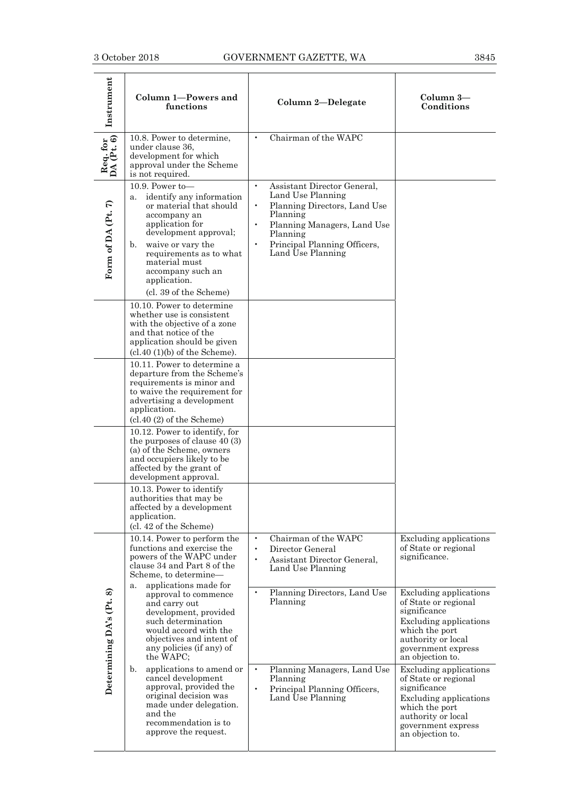| Instrument               | Column 1-Powers and<br>functions                                                                                                                                                                                                                                               | Column 2-Delegate                                                                                                                                                                                                                                | Column 3-<br>Conditions                                                                                                                                                                  |
|--------------------------|--------------------------------------------------------------------------------------------------------------------------------------------------------------------------------------------------------------------------------------------------------------------------------|--------------------------------------------------------------------------------------------------------------------------------------------------------------------------------------------------------------------------------------------------|------------------------------------------------------------------------------------------------------------------------------------------------------------------------------------------|
| Req. for<br>DA (Pt. 6)   | 10.8. Power to determine,<br>under clause 36,<br>development for which<br>approval under the Scheme<br>is not required.                                                                                                                                                        | Chairman of the WAPC                                                                                                                                                                                                                             |                                                                                                                                                                                          |
| Form of DA (Pt. 7)       | 10.9. Power to-<br>identify any information<br>a.<br>or material that should<br>accompany an<br>application for<br>development approval;<br>waive or vary the<br>b.<br>requirements as to what<br>material must<br>accompany such an<br>application.<br>(cl. 39 of the Scheme) | $\bullet$<br>Assistant Director General,<br>Land Use Planning<br>Planning Directors, Land Use<br>$\bullet$<br>Planning<br>Planning Managers, Land Use<br>$\bullet$<br>Planning<br>$\bullet$<br>Principal Planning Officers,<br>Land Use Planning |                                                                                                                                                                                          |
|                          | 10.10. Power to determine<br>whether use is consistent<br>with the objective of a zone<br>and that notice of the<br>application should be given<br>$(cl.40 (1)(b)$ of the Scheme).                                                                                             |                                                                                                                                                                                                                                                  |                                                                                                                                                                                          |
|                          | 10.11. Power to determine a<br>departure from the Scheme's<br>requirements is minor and<br>to waive the requirement for<br>advertising a development<br>application.<br>(cl.40 (2) of the Scheme)                                                                              |                                                                                                                                                                                                                                                  |                                                                                                                                                                                          |
|                          | 10.12. Power to identify, for<br>the purposes of clause $40(3)$<br>(a) of the Scheme, owners<br>and occupiers likely to be<br>affected by the grant of<br>development approval.                                                                                                |                                                                                                                                                                                                                                                  |                                                                                                                                                                                          |
|                          | 10.13. Power to identify<br>authorities that may be<br>affected by a development<br>application.<br>(cl. 42 of the Scheme)                                                                                                                                                     |                                                                                                                                                                                                                                                  |                                                                                                                                                                                          |
|                          | 10.14. Power to perform the<br>functions and exercise the<br>powers of the WAPC under<br>clause 34 and Part 8 of the<br>Scheme, to determine-<br>applications made for                                                                                                         | Chairman of the WAPC<br>$\bullet$<br>$\bullet$<br>Director General<br>Assistant Director General,<br>$\bullet$<br>Land Use Planning                                                                                                              | <b>Excluding applications</b><br>of State or regional<br>significance.                                                                                                                   |
| Determining DA's (Pt. 8) | a.<br>approval to commence<br>and carry out<br>development, provided<br>such determination<br>would accord with the<br>objectives and intent of<br>any policies (if any) of<br>the WAPC;                                                                                       | Planning Directors, Land Use<br>$\bullet$<br>Planning                                                                                                                                                                                            | <b>Excluding applications</b><br>of State or regional<br>significance<br><b>Excluding applications</b><br>which the port<br>authority or local<br>government express<br>an objection to. |
|                          | applications to amend or<br>b.<br>cancel development<br>approval, provided the<br>original decision was<br>made under delegation.<br>and the<br>recommendation is to<br>approve the request.                                                                                   | $\bullet$<br>Planning Managers, Land Use<br>Planning<br>$\bullet$<br>Principal Planning Officers,<br>Land Use Planning                                                                                                                           | <b>Excluding applications</b><br>of State or regional<br>significance<br><b>Excluding applications</b><br>which the port<br>authority or local<br>government express<br>an objection to. |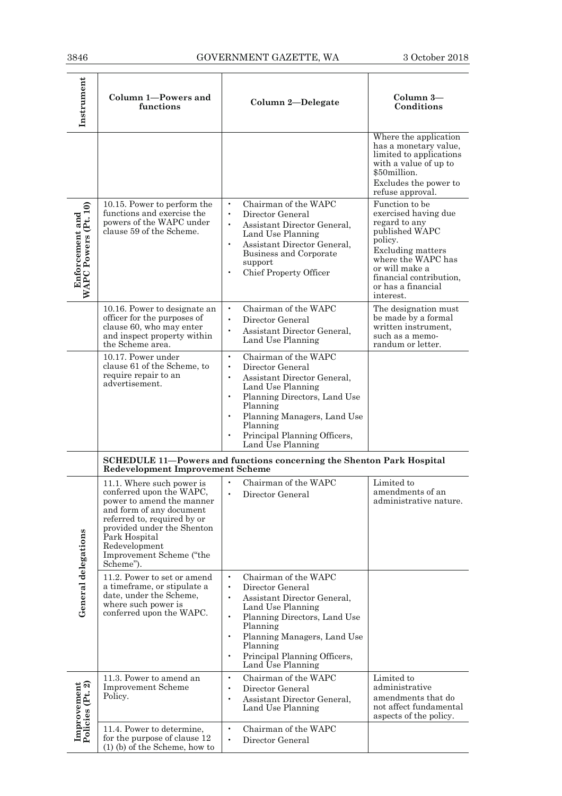| 3846                                                          |                                                                                                                                                                                                                                                        | GOVERNMENT GAZETTE, WA                                                                                                                                                                                                                                                                                    | 3 October 2018                                                                                                                                                                                                  |
|---------------------------------------------------------------|--------------------------------------------------------------------------------------------------------------------------------------------------------------------------------------------------------------------------------------------------------|-----------------------------------------------------------------------------------------------------------------------------------------------------------------------------------------------------------------------------------------------------------------------------------------------------------|-----------------------------------------------------------------------------------------------------------------------------------------------------------------------------------------------------------------|
| Instrument                                                    | Column 1-Powers and<br>functions                                                                                                                                                                                                                       | Column 2-Delegate                                                                                                                                                                                                                                                                                         | Column 3-<br>Conditions                                                                                                                                                                                         |
|                                                               |                                                                                                                                                                                                                                                        |                                                                                                                                                                                                                                                                                                           | Where the application<br>has a monetary value,<br>limited to applications<br>with a value of up to<br>\$50million.<br>Excludes the power to<br>refuse approval.                                                 |
| $\widehat{\bullet}$<br>Enforcement and<br>WAPC Powers (Pt. 1) | 10.15. Power to perform the<br>functions and exercise the<br>powers of the WAPC under<br>clause 59 of the Scheme.                                                                                                                                      | Chairman of the WAPC<br>$\bullet$<br>Director General<br>$\bullet$<br>Assistant Director General,<br>Land Use Planning<br>$\bullet$<br>Assistant Director General,<br>Business and Corporate<br>support<br>Chief Property Officer<br>$\bullet$                                                            | Function to be<br>exercised having due<br>regard to any<br>published WAPC<br>policy.<br>Excluding matters<br>where the WAPC has<br>or will make a<br>financial contribution,<br>or has a financial<br>interest. |
|                                                               | 10.16. Power to designate an<br>officer for the purposes of<br>clause 60, who may enter<br>and inspect property within<br>the Scheme area.                                                                                                             | Chairman of the WAPC<br>$\bullet$<br>$\bullet$<br>Director General<br>Assistant Director General,<br>Land Use Planning                                                                                                                                                                                    | The designation must<br>be made by a formal<br>written instrument,<br>such as a memo-<br>randum or letter.                                                                                                      |
|                                                               | 10.17. Power under<br>clause 61 of the Scheme, to<br>require repair to an<br>advertisement.                                                                                                                                                            | Chairman of the WAPC<br>$\bullet$<br>Director General<br>$\bullet$<br>Assistant Director General,<br>$\bullet$<br>Land Use Planning<br>Planning Directors, Land Use<br>$\bullet$<br>Planning<br>Planning Managers, Land Use<br>Planning<br>Principal Planning Officers,<br>Land Use Planning              |                                                                                                                                                                                                                 |
|                                                               | <b>Redevelopment Improvement Scheme</b>                                                                                                                                                                                                                | <b>SCHEDULE 11-Powers and functions concerning the Shenton Park Hospital</b>                                                                                                                                                                                                                              |                                                                                                                                                                                                                 |
|                                                               | 11.1. Where such power is<br>conferred upon the WAPC,<br>power to amend the manner<br>and form of any document<br>referred to, required by or<br>provided under the Shenton<br>Park Hospital<br>Redevelopment<br>Improvement Scheme ("the<br>Scheme"). | Chairman of the WAPC<br>$\bullet$<br>Director General<br>$\bullet$                                                                                                                                                                                                                                        | Limited to<br>amendments of an<br>administrative nature.                                                                                                                                                        |
| General delegations                                           | 11.2. Power to set or amend<br>a timeframe, or stipulate a<br>date, under the Scheme,<br>where such power is<br>conferred upon the WAPC.                                                                                                               | Chairman of the WAPC<br>$\bullet$<br>Director General<br>$\bullet$<br>Assistant Director General,<br>$\bullet$<br>Land Use Planning<br>$\bullet$<br>Planning Directors, Land Use<br>Planning<br>Planning Managers, Land Use<br>$\bullet$<br>Planning<br>Principal Planning Officers,<br>Land Use Planning |                                                                                                                                                                                                                 |
| Improvement<br>Policies (Pt. 2)                               | 11.3. Power to amend an<br><b>Improvement Scheme</b><br>Policy.                                                                                                                                                                                        | Chairman of the WAPC<br>$\bullet$<br>Director General<br>$\bullet$<br>Assistant Director General,<br>$\bullet$<br>Land Use Planning                                                                                                                                                                       | Limited to<br>administrative<br>amendments that do<br>not affect fundamental<br>aspects of the policy.                                                                                                          |
|                                                               | 11.4. Power to determine,<br>for the purpose of clause 12<br>$(1)$ (b) of the Scheme, how to                                                                                                                                                           | Chairman of the WAPC<br>$\bullet$<br>Director General<br>$\bullet$                                                                                                                                                                                                                                        |                                                                                                                                                                                                                 |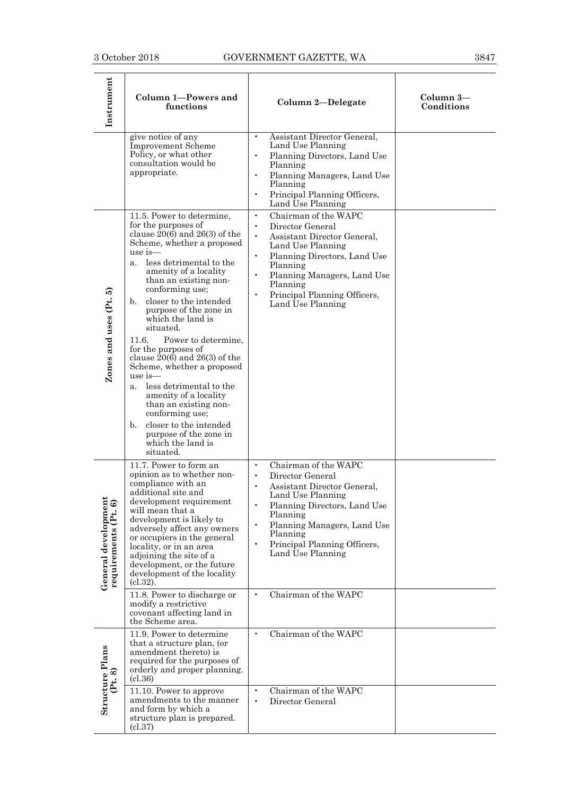| Instrument                                   | Column 1-Powers and<br>functions                                                                                                                                                                                                                                                                                                                                                                                                                                                                                                                                                                                                                                              | Column 2-Delegate                                                                                                                                                                                                                                                                                                                              | Column 3-<br>Conditions |
|----------------------------------------------|-------------------------------------------------------------------------------------------------------------------------------------------------------------------------------------------------------------------------------------------------------------------------------------------------------------------------------------------------------------------------------------------------------------------------------------------------------------------------------------------------------------------------------------------------------------------------------------------------------------------------------------------------------------------------------|------------------------------------------------------------------------------------------------------------------------------------------------------------------------------------------------------------------------------------------------------------------------------------------------------------------------------------------------|-------------------------|
|                                              | give notice of any<br><b>Improvement Scheme</b><br>Policy, or what other<br>consultation would be<br>appropriate.                                                                                                                                                                                                                                                                                                                                                                                                                                                                                                                                                             | Assistant Director General,<br>Land Use Planning<br>Planning Directors, Land Use<br>Planning<br>Planning Managers, Land Use<br>$\bullet$<br>Planning<br>Principal Planning Officers,<br>Land Use Planning                                                                                                                                      |                         |
| Zones and uses (Pt. 5)                       | 11.5. Power to determine,<br>for the purposes of<br>clause $20(6)$ and $26(3)$ of the<br>Scheme, whether a proposed<br>$use$ is $-$<br>less detrimental to the<br>a <sub>z</sub><br>amenity of a locality<br>than an existing non-<br>conforming use:<br>b. closer to the intended<br>purpose of the zone in<br>which the land is<br>situated.<br>Power to determine,<br>11.6.<br>for the purposes of<br>clause $20(6)$ and $26(3)$ of the<br>Scheme, whether a proposed<br>use is—<br>less detrimental to the<br>$a_{-}$<br>amenity of a locality<br>than an existing non-<br>conforming use:<br>closer to the intended<br>b.<br>purpose of the zone in<br>which the land is | Chairman of the WAPC<br>$\bullet$<br>Director General<br>$\bullet$<br>Assistant Director General,<br>$\bullet$<br>Land Use Planning<br>Planning Directors, Land Use<br>$\bullet$<br>Planning<br>Planning Managers, Land Use<br>Planning<br>Principal Planning Officers,<br>$\bullet$<br>Land Use Planning                                      |                         |
| General development<br>requirements (Pt. 6)  | situated.<br>11.7. Power to form an<br>opinion as to whether non-<br>compliance with an<br>additional site and<br>development requirement<br>will mean that a<br>development is likely to<br>adversely affect any owners<br>or occupiers in the general<br>locality, or in an area<br>adjoining the site of a<br>development, or the future<br>development of the locality<br>$(c.32)$ .<br>11.8. Power to discharge or                                                                                                                                                                                                                                                       | Chairman of the WAPC<br>$\bullet$<br>Director General<br>$\bullet$<br>Assistant Director General,<br>$\bullet$<br>Land Use Planning<br>Planning Directors, Land Use<br>$\bullet$<br>Planning<br>Planning Managers, Land Use<br>Planning<br>Principal Planning Officers,<br>$\bullet$<br>Land Use Planning<br>Chairman of the WAPC<br>$\bullet$ |                         |
| <b>Structure Plans</b><br>$(\mathrm{Pt}, 8)$ | modify a restrictive<br>covenant affecting land in<br>the Scheme area.<br>11.9. Power to determine<br>that a structure plan, (or<br>amendment thereto) is<br>required for the purposes of<br>orderly and proper planning.<br>(cl.36)<br>11.10. Power to approve<br>amendments to the manner<br>and form by which a<br>structure plan is prepared.<br>(cl.37)                                                                                                                                                                                                                                                                                                                  | Chairman of the WAPC<br>$\bullet$<br>Chairman of the WAPC<br>$\bullet$<br>Director General<br>$\bullet$                                                                                                                                                                                                                                        |                         |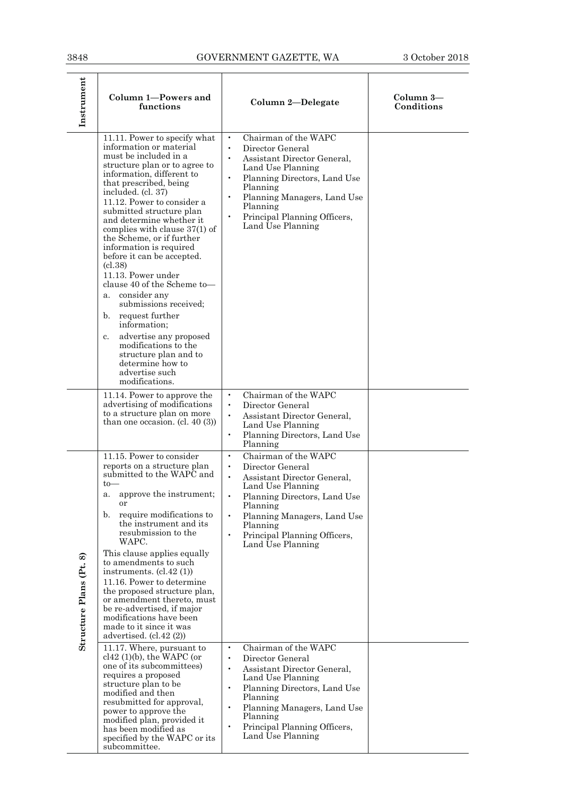| 3848                    |                                                                                                                                                                                                                                                                                                                                                                                                                                                                                                                                                                                                                                                                                                                                                                                                                                                             | GOVERNMENT GAZETTE, WA                                                                                                                                                                                                                                                                                                                                                                                                                                                                                                                                                                                                                           | 3 October 2018          |
|-------------------------|-------------------------------------------------------------------------------------------------------------------------------------------------------------------------------------------------------------------------------------------------------------------------------------------------------------------------------------------------------------------------------------------------------------------------------------------------------------------------------------------------------------------------------------------------------------------------------------------------------------------------------------------------------------------------------------------------------------------------------------------------------------------------------------------------------------------------------------------------------------|--------------------------------------------------------------------------------------------------------------------------------------------------------------------------------------------------------------------------------------------------------------------------------------------------------------------------------------------------------------------------------------------------------------------------------------------------------------------------------------------------------------------------------------------------------------------------------------------------------------------------------------------------|-------------------------|
| Instrument              | Column 1-Powers and<br>functions                                                                                                                                                                                                                                                                                                                                                                                                                                                                                                                                                                                                                                                                                                                                                                                                                            | Column 2-Delegate                                                                                                                                                                                                                                                                                                                                                                                                                                                                                                                                                                                                                                | Column 3—<br>Conditions |
|                         | 11.11. Power to specify what<br>information or material<br>must be included in a<br>structure plan or to agree to<br>information, different to<br>that prescribed, being<br>included. (cl. 37)<br>11.12. Power to consider a<br>submitted structure plan<br>and determine whether it<br>complies with clause $37(1)$ of<br>the Scheme, or if further<br>information is required<br>before it can be accepted.<br>(c1.38)<br>11.13. Power under<br>clause 40 of the Scheme to-<br>consider any<br>a.<br>submissions received:<br>request further<br>b.<br>information;<br>advertise any proposed<br>c.<br>modifications to the<br>structure plan and to<br>determine how to<br>advertise such<br>modifications.                                                                                                                                              | Chairman of the WAPC<br>$\bullet$<br>$\bullet$<br>Director General<br>$\bullet$<br>Assistant Director General,<br>Land Use Planning<br>$\bullet$<br>Planning Directors, Land Use<br>Planning<br>Planning Managers, Land Use<br>$\bullet$<br>Planning<br>Principal Planning Officers,<br>$\bullet$<br>Land Use Planning                                                                                                                                                                                                                                                                                                                           |                         |
|                         | 11.14. Power to approve the<br>advertising of modifications<br>to a structure plan on more<br>than one occasion. (cl. 40 $(3)$ )                                                                                                                                                                                                                                                                                                                                                                                                                                                                                                                                                                                                                                                                                                                            | Chairman of the WAPC<br>$\bullet$<br>Director General<br>$\bullet$<br>$\bullet$<br>Assistant Director General,<br>Land Use Planning<br>Planning Directors, Land Use<br>$\bullet$<br>Planning                                                                                                                                                                                                                                                                                                                                                                                                                                                     |                         |
| Structure Plans (Pt. 8) | 11.15. Power to consider<br>reports on a structure plan<br>submitted to the WAPC and<br>$to-$<br>approve the instrument;<br>a.<br>or<br>require modifications to<br>b.<br>the instrument and its<br>resubmission to the<br>WAPC.<br>This clause applies equally<br>to amendments to such<br>instruments. $(cl.42 (1))$<br>11.16. Power to determine<br>the proposed structure plan.<br>or amendment thereto, must<br>be re-advertised, if major<br>modifications have been<br>made to it since it was<br>advertised. $(cl.42 (2))$<br>11.17. Where, pursuant to<br>$cl42$ (1)(b), the WAPC (or<br>one of its subcommittees)<br>requires a proposed<br>structure plan to be<br>modified and then<br>resubmitted for approval,<br>power to approve the<br>modified plan, provided it<br>has been modified as<br>specified by the WAPC or its<br>subcommittee. | Chairman of the WAPC<br>$\bullet$<br>Director General<br>$\bullet$<br>$\bullet$<br>Assistant Director General,<br>Land Use Planning<br>$\bullet$<br>Planning Directors, Land Use<br>Planning<br>$\bullet$<br>Planning Managers, Land Use<br>Planning<br>Principal Planning Officers,<br>$\bullet$<br>Land Use Planning<br>Chairman of the WAPC<br>$\bullet$<br>Director General<br>$\bullet$<br>Assistant Director General,<br>$\bullet$<br>Land Use Planning<br>Planning Directors, Land Use<br>$\bullet$<br>Planning<br>Planning Managers, Land Use<br>$\bullet$<br>Planning<br>Principal Planning Officers,<br>$\bullet$<br>Land Use Planning |                         |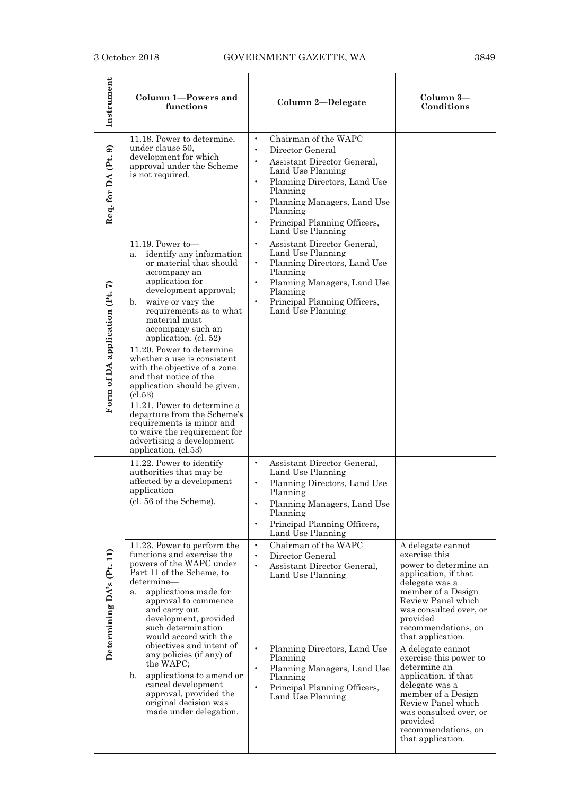| Instrument                     | Column 1-Powers and<br>functions                                                                                                                                                                                                                                                                                                                                                                                                                                                                                                                                                                                | Column 2-Delegate                                                                                                                                                                                                                                                                            | Column 3-<br>Conditions                                                                                                                                                                                                                                                                                                                                                                                            |
|--------------------------------|-----------------------------------------------------------------------------------------------------------------------------------------------------------------------------------------------------------------------------------------------------------------------------------------------------------------------------------------------------------------------------------------------------------------------------------------------------------------------------------------------------------------------------------------------------------------------------------------------------------------|----------------------------------------------------------------------------------------------------------------------------------------------------------------------------------------------------------------------------------------------------------------------------------------------|--------------------------------------------------------------------------------------------------------------------------------------------------------------------------------------------------------------------------------------------------------------------------------------------------------------------------------------------------------------------------------------------------------------------|
| Req. for DA (Pt. 9)            | 11.18. Power to determine,<br>under clause 50,<br>development for which<br>approval under the Scheme<br>is not required.                                                                                                                                                                                                                                                                                                                                                                                                                                                                                        | Chairman of the WAPC<br>Director General<br>Assistant Director General,<br>Land Use Planning<br>Planning Directors, Land Use<br>$\bullet$<br>Planning<br>Planning Managers, Land Use<br>$\bullet$<br>Planning<br>Principal Planning Officers,<br>$\bullet$<br>Land Use Planning              |                                                                                                                                                                                                                                                                                                                                                                                                                    |
| Form of DA application (Pt. 7) | 11.19. Power to-<br>identify any information<br>a.<br>or material that should<br>accompany an<br>application for<br>development approval;<br>waive or vary the<br>b.<br>requirements as to what<br>material must<br>accompany such an<br>application. (cl. 52)<br>11.20. Power to determine<br>whether a use is consistent<br>with the objective of a zone<br>and that notice of the<br>application should be given.<br>(cl.53)<br>11.21. Power to determine a<br>departure from the Scheme's<br>requirements is minor and<br>to waive the requirement for<br>advertising a development<br>application. (cl.53) | $\bullet$<br>Assistant Director General,<br>Land Use Planning<br>Planning Directors, Land Use<br>Planning<br>Planning Managers, Land Use<br>$\bullet$<br>Planning<br>Principal Planning Officers,<br>$\bullet$<br>Land Use Planning                                                          |                                                                                                                                                                                                                                                                                                                                                                                                                    |
|                                | 11.22. Power to identify<br>authorities that may be<br>affected by a development<br>application<br>(cl. 56 of the Scheme).                                                                                                                                                                                                                                                                                                                                                                                                                                                                                      | $\bullet$<br>Assistant Director General,<br>Land Use Planning<br>Planning Directors, Land Use<br>$\bullet$<br>Planning<br>Planning Managers, Land Use<br>Planning<br>Principal Planning Officers,<br>$\bullet$<br>Land Use Planning                                                          |                                                                                                                                                                                                                                                                                                                                                                                                                    |
| Determining DA's (Pt. 11)      | 11.23. Power to perform the<br>functions and exercise the<br>powers of the WAPC under<br>Part 11 of the Scheme, to<br>determine—<br>applications made for<br>а.<br>approval to commence<br>and carry out<br>development, provided<br>such determination<br>would accord with the<br>objectives and intent of<br>any policies (if any) of<br>the WAPC;<br>applications to amend or<br>$\mathbf{b}$ .<br>cancel development<br>approval, provided the<br>original decision was<br>made under delegation.                                                                                                          | $\bullet$<br>Chairman of the WAPC<br>Director General<br>$\bullet$<br>Assistant Director General,<br>$\bullet$<br>Land Use Planning<br>Planning Directors, Land Use<br>Planning<br>$\bullet$<br>Planning Managers, Land Use<br>Planning<br>Principal Planning Officers,<br>Land Use Planning | A delegate cannot<br>exercise this<br>power to determine an<br>application, if that<br>delegate was a<br>member of a Design<br>Review Panel which<br>was consulted over, or<br>provided<br>recommendations, on<br>that application.<br>A delegate cannot<br>exercise this power to<br>determine an<br>application, if that<br>delegate was a<br>member of a Design<br>Review Panel which<br>was consulted over, or |
|                                |                                                                                                                                                                                                                                                                                                                                                                                                                                                                                                                                                                                                                 |                                                                                                                                                                                                                                                                                              | provided<br>recommendations, on<br>that application.                                                                                                                                                                                                                                                                                                                                                               |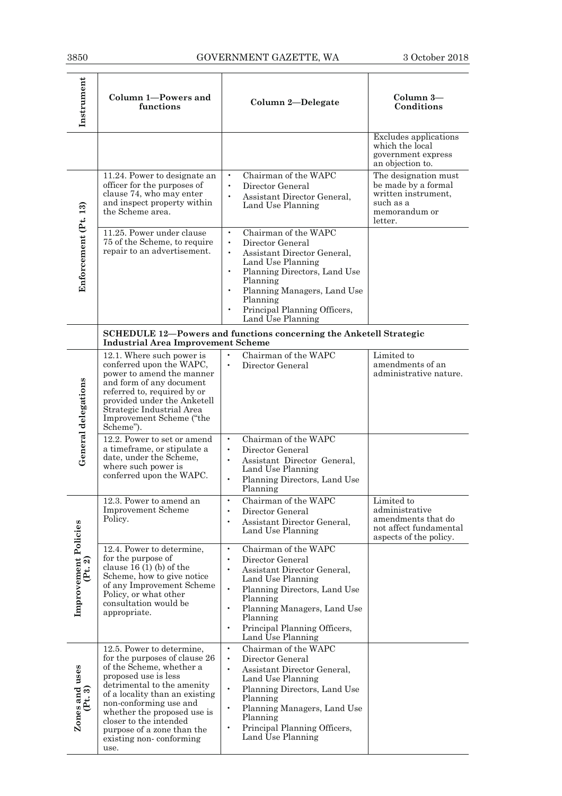| Instrument                      | Column 1-Powers and<br>functions                                                                                                                                                                                                                                                                                                   | Column 2-Delegate                                                                                                                                                                                                                                                                                         | Column 3-<br>Conditions                                                                                     |
|---------------------------------|------------------------------------------------------------------------------------------------------------------------------------------------------------------------------------------------------------------------------------------------------------------------------------------------------------------------------------|-----------------------------------------------------------------------------------------------------------------------------------------------------------------------------------------------------------------------------------------------------------------------------------------------------------|-------------------------------------------------------------------------------------------------------------|
|                                 |                                                                                                                                                                                                                                                                                                                                    |                                                                                                                                                                                                                                                                                                           | <b>Excludes</b> applications<br>which the local<br>government express<br>an objection to.                   |
| Enforcement (Pt. 13)            | 11.24. Power to designate an<br>officer for the purposes of<br>clause 74, who may enter<br>and inspect property within<br>the Scheme area.                                                                                                                                                                                         | Chairman of the WAPC<br>$\bullet$<br>Director General<br>$\bullet$<br>Assistant Director General,<br>$\bullet$<br>Land Use Planning                                                                                                                                                                       | The designation must<br>be made by a formal<br>written instrument,<br>such as a<br>memorandum or<br>letter. |
|                                 | 11.25. Power under clause<br>75 of the Scheme, to require<br>repair to an advertisement.                                                                                                                                                                                                                                           | Chairman of the WAPC<br>$\bullet$<br>Director General<br>$\bullet$<br>Assistant Director General,<br>$\bullet$<br>Land Use Planning<br>Planning Directors, Land Use<br>$\bullet$<br>Planning<br>Planning Managers, Land Use<br>Planning<br>Principal Planning Officers,<br>Land Use Planning              |                                                                                                             |
|                                 | <b>Industrial Area Improvement Scheme</b>                                                                                                                                                                                                                                                                                          | <b>SCHEDULE 12-Powers and functions concerning the Anketell Strategic</b>                                                                                                                                                                                                                                 |                                                                                                             |
| General delegations             | 12.1. Where such power is<br>conferred upon the WAPC,<br>power to amend the manner<br>and form of any document<br>referred to, required by or<br>provided under the Anketell<br>Strategic Industrial Area<br>Improvement Scheme ("the<br>Scheme").                                                                                 | Chairman of the WAPC<br>Director General<br>$\bullet$                                                                                                                                                                                                                                                     | Limited to<br>amendments of an<br>administrative nature.                                                    |
|                                 | 12.2. Power to set or amend<br>a timeframe, or stipulate a<br>date, under the Scheme,<br>where such power is<br>conferred upon the WAPC.                                                                                                                                                                                           | Chairman of the WAPC<br>$\bullet$<br>Director General<br>$\bullet$<br>$\bullet$<br>Assistant Director General,<br>Land Use Planning<br>Planning Directors, Land Use<br>Planning                                                                                                                           |                                                                                                             |
|                                 | 12.3. Power to amend an<br><b>Improvement Scheme</b><br>Policy.                                                                                                                                                                                                                                                                    | Chairman of the WAPC<br>Director General<br>$\bullet$<br>Assistant Director General,<br>$\bullet$<br>Land Use Planning                                                                                                                                                                                    | Limited to<br>administrative<br>amendments that do<br>not affect fundamental<br>aspects of the policy.      |
| Improvement Policies<br>(Pt. 2) | 12.4. Power to determine,<br>for the purpose of<br>clause $16(1)(b)$ of the<br>Scheme, how to give notice<br>of any Improvement Scheme<br>Policy, or what other<br>consultation would be<br>appropriate.                                                                                                                           | Chairman of the WAPC<br>$\bullet$<br>Director General<br>$\bullet$<br>Assistant Director General,<br>Land Use Planning<br>$\bullet$<br>Planning Directors, Land Use<br>Planning<br>Planning Managers, Land Use<br>Planning<br>Principal Planning Officers,<br>$\bullet$<br>Land Use Planning              |                                                                                                             |
| Zones and uses<br>(Pt. 3)       | 12.5. Power to determine.<br>for the purposes of clause 26<br>of the Scheme, whether a<br>proposed use is less<br>detrimental to the amenity<br>of a locality than an existing<br>non-conforming use and<br>whether the proposed use is<br>closer to the intended<br>purpose of a zone than the<br>existing non-conforming<br>use. | Chairman of the WAPC<br>$\bullet$<br>Director General<br>$\bullet$<br>Assistant Director General,<br>$\bullet$<br>Land Use Planning<br>Planning Directors, Land Use<br>$\bullet$<br>Planning<br>Planning Managers, Land Use<br>$\bullet$<br>Planning<br>Principal Planning Officers,<br>Land Use Planning |                                                                                                             |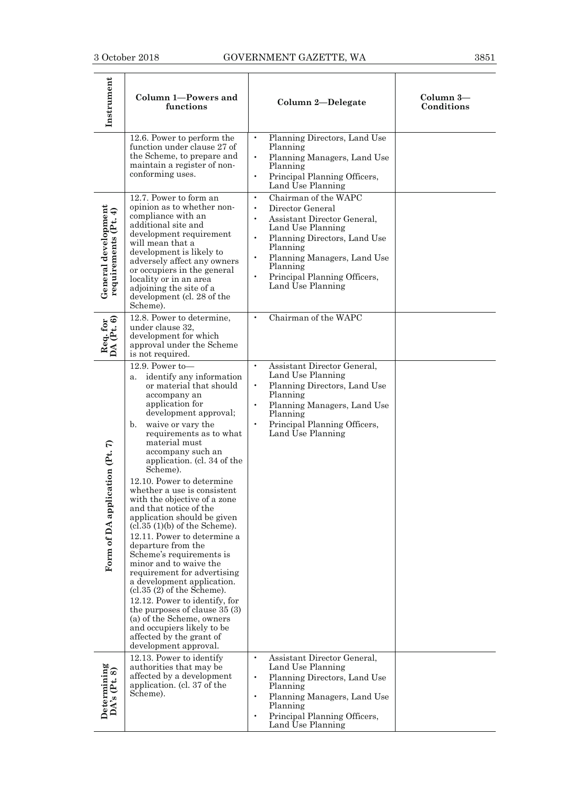| Instrument                                  | Column 1-Powers and<br>functions                                                                                                                                                                                                                                                                                                                                                                                                                                                                                                                                                                                                                                                                                                                                                                                                                                 | Column 2-Delegate                                                                                                                                                                                                                                                                            | Column 3-<br>Conditions |
|---------------------------------------------|------------------------------------------------------------------------------------------------------------------------------------------------------------------------------------------------------------------------------------------------------------------------------------------------------------------------------------------------------------------------------------------------------------------------------------------------------------------------------------------------------------------------------------------------------------------------------------------------------------------------------------------------------------------------------------------------------------------------------------------------------------------------------------------------------------------------------------------------------------------|----------------------------------------------------------------------------------------------------------------------------------------------------------------------------------------------------------------------------------------------------------------------------------------------|-------------------------|
|                                             | 12.6. Power to perform the<br>function under clause 27 of<br>the Scheme, to prepare and<br>maintain a register of non-<br>conforming uses.                                                                                                                                                                                                                                                                                                                                                                                                                                                                                                                                                                                                                                                                                                                       | Planning Directors, Land Use<br>$\bullet$<br>Planning<br>Planning Managers, Land Use<br>$\bullet$<br>Planning<br>Principal Planning Officers,<br>$\bullet$<br>Land Use Planning                                                                                                              |                         |
| General development<br>requirements (Pt. 4) | 12.7. Power to form an<br>opinion as to whether non-<br>compliance with an<br>additional site and<br>development requirement<br>will mean that a<br>development is likely to<br>adversely affect any owners<br>or occupiers in the general<br>locality or in an area<br>adjoining the site of a<br>development (cl. 28 of the<br>Scheme).                                                                                                                                                                                                                                                                                                                                                                                                                                                                                                                        | Chairman of the WAPC<br>$\bullet$<br>Director General<br>$\bullet$<br>Assistant Director General,<br>Land Use Planning<br>Planning Directors, Land Use<br>$\bullet$<br>Planning<br>Planning Managers, Land Use<br>Planning<br>$\bullet$<br>Principal Planning Officers,<br>Land Use Planning |                         |
| Req. for<br>DA (Pt. 6)                      | 12.8. Power to determine,<br>under clause 32,<br>development for which<br>approval under the Scheme<br>is not required.                                                                                                                                                                                                                                                                                                                                                                                                                                                                                                                                                                                                                                                                                                                                          | Chairman of the WAPC<br>$\bullet$                                                                                                                                                                                                                                                            |                         |
| ication (Pt. 7)<br>Form of DA appl          | 12.9. Power to-<br>identify any information<br>a.<br>or material that should<br>accompany an<br>application for<br>development approval;<br>waive or vary the<br>b.<br>requirements as to what<br>material must<br>accompany such an<br>application. (cl. 34 of the<br>Scheme).<br>12.10. Power to determine<br>whether a use is consistent<br>with the objective of a zone<br>and that notice of the<br>application should be given<br>$(cl.35 (1)(b)$ of the Scheme).<br>12.11. Power to determine a<br>departure from the<br>Scheme's requirements is<br>minor and to waive the<br>requirement for advertising<br>a development application.<br>(cl.35 (2) of the Scheme).<br>12.12. Power to identify, for<br>the purposes of clause $35(3)$<br>(a) of the Scheme, owners<br>and occupiers likely to be<br>affected by the grant of<br>development approval. | Assistant Director General,<br>Land Use Planning<br>Planning Directors, Land Use<br>$\bullet$<br>Planning<br>Planning Managers, Land Use<br>Planning<br>Principal Planning Officers,<br>Land Use Planning                                                                                    |                         |
| Determining<br>DA's (Pt. 8)                 | 12.13. Power to identify<br>authorities that may be<br>affected by a development<br>application. (cl. 37 of the<br>Scheme).                                                                                                                                                                                                                                                                                                                                                                                                                                                                                                                                                                                                                                                                                                                                      | Assistant Director General,<br>$\bullet$<br>Land Use Planning<br>Planning Directors, Land Use<br>Planning<br>Planning Managers, Land Use<br>$\bullet$<br>Planning<br>Principal Planning Officers,<br>Land Use Planning                                                                       |                         |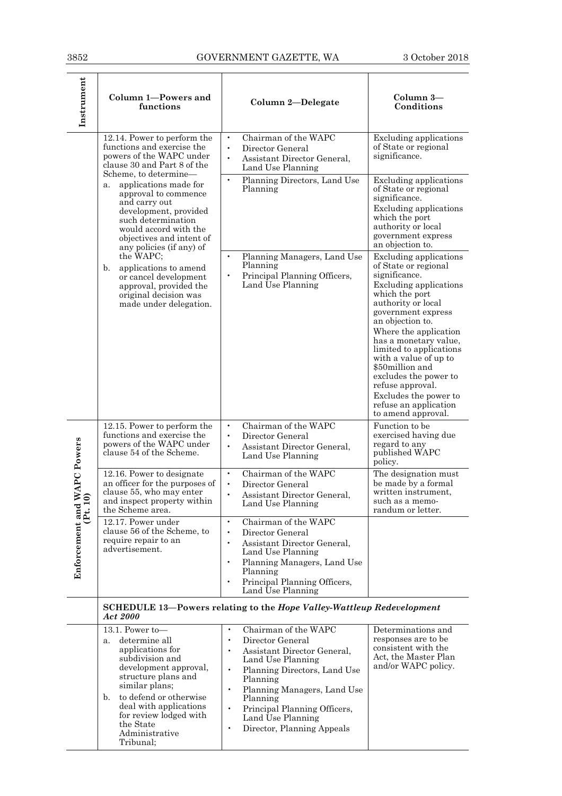Ŧ

| Instrument                    | Column 1-Powers and<br>functions                                                                                                                                                                                                                                                                                                                       | Column 2-Delegate                                                                                                                                                                                                                                                                                                                                                 | Column 3-<br>Conditions                                                                                                                                                                                                                                                                                                                                                                                                                                                                                                                                                                                                       |
|-------------------------------|--------------------------------------------------------------------------------------------------------------------------------------------------------------------------------------------------------------------------------------------------------------------------------------------------------------------------------------------------------|-------------------------------------------------------------------------------------------------------------------------------------------------------------------------------------------------------------------------------------------------------------------------------------------------------------------------------------------------------------------|-------------------------------------------------------------------------------------------------------------------------------------------------------------------------------------------------------------------------------------------------------------------------------------------------------------------------------------------------------------------------------------------------------------------------------------------------------------------------------------------------------------------------------------------------------------------------------------------------------------------------------|
|                               | 12.14. Power to perform the<br>functions and exercise the<br>powers of the WAPC under<br>clause 30 and Part 8 of the<br>Scheme, to determine-                                                                                                                                                                                                          | Chairman of the WAPC<br>$\bullet$<br>Director General<br>Assistant Director General,<br>$\bullet$<br>Land Use Planning                                                                                                                                                                                                                                            | <b>Excluding applications</b><br>of State or regional<br>significance.                                                                                                                                                                                                                                                                                                                                                                                                                                                                                                                                                        |
|                               | applications made for<br>a.<br>approval to commence<br>and carry out<br>development, provided<br>such determination<br>would accord with the<br>objectives and intent of<br>any policies (if any) of<br>the WAPC;<br>applications to amend<br>b.<br>or cancel development<br>approval, provided the<br>original decision was<br>made under delegation. | Planning Directors, Land Use<br>$\bullet$<br>Planning<br>Planning Managers, Land Use<br>Planning<br>Principal Planning Officers,<br>$\bullet$<br>Land Use Planning                                                                                                                                                                                                | <b>Excluding applications</b><br>of State or regional<br>significance.<br>Excluding applications<br>which the port<br>authority or local<br>government express<br>an objection to.<br><b>Excluding applications</b><br>of State or regional<br>significance.<br><b>Excluding applications</b><br>which the port<br>authority or local<br>government express<br>an objection to.<br>Where the application<br>has a monetary value,<br>limited to applications<br>with a value of up to<br>\$50million and<br>excludes the power to<br>refuse approval.<br>Excludes the power to<br>refuse an application<br>to amend approval. |
|                               | 12.15. Power to perform the<br>functions and exercise the<br>powers of the WAPC under<br>clause 54 of the Scheme.                                                                                                                                                                                                                                      | Chairman of the WAPC<br>$\bullet$<br>$\bullet$<br>Director General<br>Assistant Director General,<br>$\bullet$<br>Land Use Planning                                                                                                                                                                                                                               | Function to be<br>exercised having due<br>regard to any<br>published WAPC<br>policy.                                                                                                                                                                                                                                                                                                                                                                                                                                                                                                                                          |
| <b>IWAPC Powers</b><br>10)    | 12.16. Power to designate<br>an officer for the purposes of<br>clause 55, who may enter<br>and inspect property within<br>the Scheme area.                                                                                                                                                                                                             | Chairman of the WAPC<br>$\bullet$<br>$\bullet$<br>Director General<br>Assistant Director General.<br>$\bullet$<br>Land Use Planning                                                                                                                                                                                                                               | The designation must<br>be made by a formal<br>written instrument.<br>such as a memo-<br>randum or letter.                                                                                                                                                                                                                                                                                                                                                                                                                                                                                                                    |
| $Enforeement and$<br>$(Pt. 1$ | 12.17. Power under<br>clause 56 of the Scheme, to<br>require repair to an<br>advertisement.                                                                                                                                                                                                                                                            | Chairman of the WAPC<br>$\bullet$<br>Director General<br>$\bullet$<br>Assistant Director General,<br>Land Use Planning<br>Planning Managers, Land Use<br>Planning<br>Principal Planning Officers,<br>Land Use Planning                                                                                                                                            |                                                                                                                                                                                                                                                                                                                                                                                                                                                                                                                                                                                                                               |
|                               | Act 2000                                                                                                                                                                                                                                                                                                                                               | SCHEDULE 13-Powers relating to the Hope Valley-Wattleup Redevelopment                                                                                                                                                                                                                                                                                             |                                                                                                                                                                                                                                                                                                                                                                                                                                                                                                                                                                                                                               |
|                               | 13.1. Power to-<br>determine all<br>a.<br>applications for<br>subdivision and<br>development approval,<br>structure plans and<br>similar plans;<br>to defend or otherwise<br>$\mathbf{b}$ .<br>deal with applications<br>for review lodged with<br>the State<br>Administrative<br>Tribunal;                                                            | Chairman of the WAPC<br>$\bullet$<br>Director General<br>$\bullet$<br>Assistant Director General,<br>$\bullet$<br>Land Use Planning<br>Planning Directors, Land Use<br>$\bullet$<br>Planning<br>Planning Managers, Land Use<br>$\bullet$<br>Planning<br>Principal Planning Officers,<br>$\bullet$<br>Land Use Planning<br>Director, Planning Appeals<br>$\bullet$ | Determinations and<br>responses are to be<br>consistent with the<br>Act, the Master Plan<br>and/or WAPC policy.                                                                                                                                                                                                                                                                                                                                                                                                                                                                                                               |